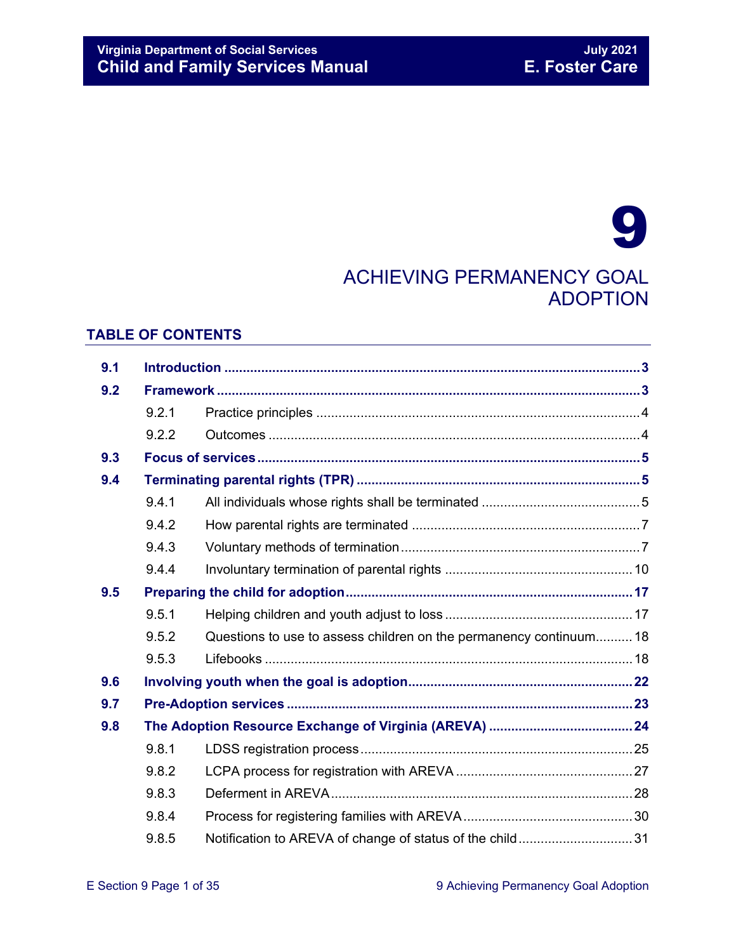# 9 ACHIEVING PERMANENCY GOAL ADOPTION

### **TABLE OF CONTENTS**

| 9.1 |       |                                                                    |  |
|-----|-------|--------------------------------------------------------------------|--|
| 9.2 |       |                                                                    |  |
|     | 9.2.1 |                                                                    |  |
|     | 9.2.2 |                                                                    |  |
| 9.3 |       |                                                                    |  |
| 9.4 |       |                                                                    |  |
|     | 9.4.1 |                                                                    |  |
|     | 9.4.2 |                                                                    |  |
|     | 9.4.3 |                                                                    |  |
|     | 9.4.4 |                                                                    |  |
| 9.5 |       |                                                                    |  |
|     | 9.5.1 |                                                                    |  |
|     | 9.5.2 | Questions to use to assess children on the permanency continuum 18 |  |
|     | 9.5.3 |                                                                    |  |
| 9.6 |       |                                                                    |  |
| 9.7 |       |                                                                    |  |
| 9.8 |       |                                                                    |  |
|     | 9.8.1 |                                                                    |  |
|     | 9.8.2 |                                                                    |  |
|     | 9.8.3 |                                                                    |  |
|     | 9.8.4 |                                                                    |  |
|     | 9.8.5 | Notification to AREVA of change of status of the child31           |  |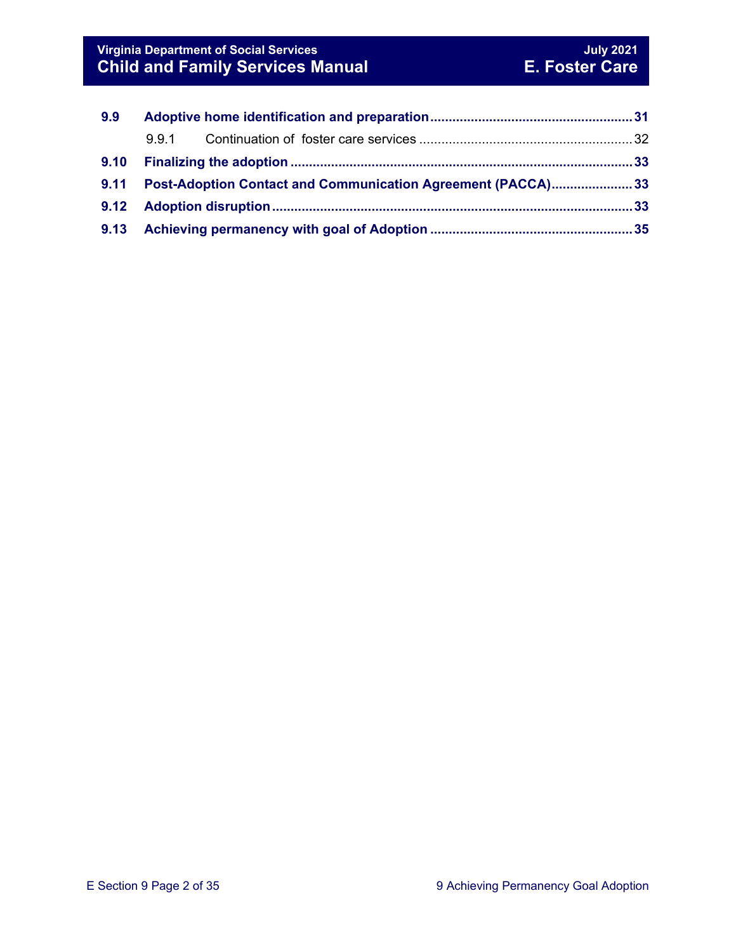| 9.9  |                                                                    |  |  |
|------|--------------------------------------------------------------------|--|--|
|      |                                                                    |  |  |
| 9.10 |                                                                    |  |  |
| 9.11 | <b>Post-Adoption Contact and Communication Agreement (PACCA)33</b> |  |  |
|      |                                                                    |  |  |
|      |                                                                    |  |  |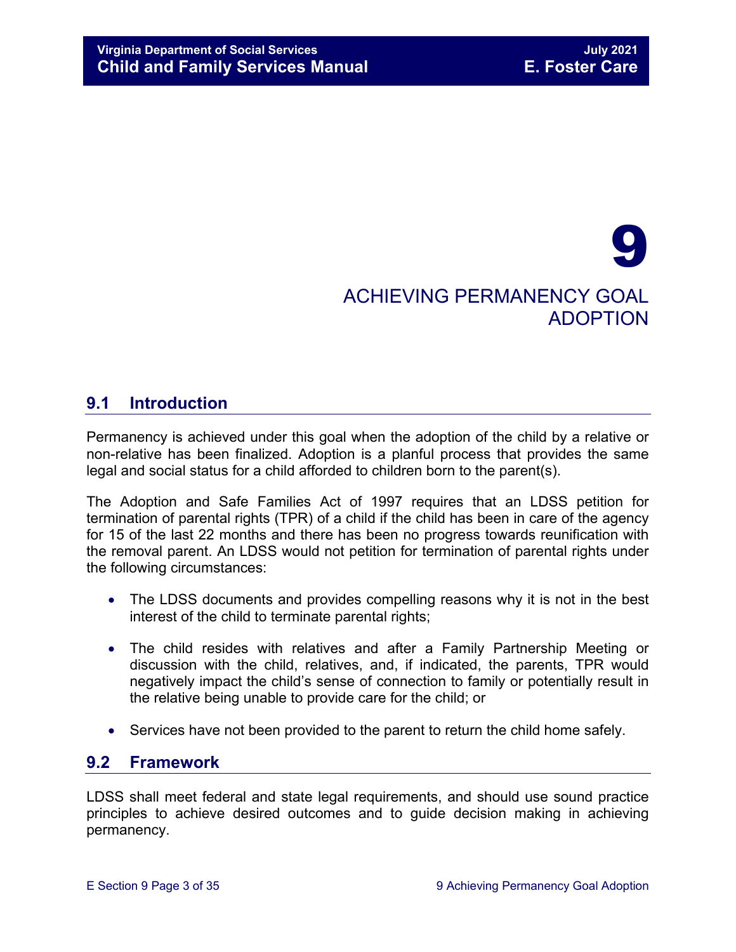# 9 ACHIEVING PERMANENCY GOAL ADOPTION

# <span id="page-2-0"></span>**9.1 Introduction**

Permanency is achieved under this goal when the adoption of the child by a relative or non-relative has been finalized. Adoption is a planful process that provides the same legal and social status for a child afforded to children born to the parent(s).

The Adoption and Safe Families Act of 1997 requires that an LDSS petition for termination of parental rights (TPR) of a child if the child has been in care of the agency for 15 of the last 22 months and there has been no progress towards reunification with the removal parent. An LDSS would not petition for termination of parental rights under the following circumstances:

- The LDSS documents and provides compelling reasons why it is not in the best interest of the child to terminate parental rights;
- The child resides with relatives and after a Family Partnership Meeting or discussion with the child, relatives, and, if indicated, the parents, TPR would negatively impact the child's sense of connection to family or potentially result in the relative being unable to provide care for the child; or
- Services have not been provided to the parent to return the child home safely.

# <span id="page-2-1"></span>**9.2 Framework**

LDSS shall meet federal and state legal requirements, and should use sound practice principles to achieve desired outcomes and to guide decision making in achieving permanency.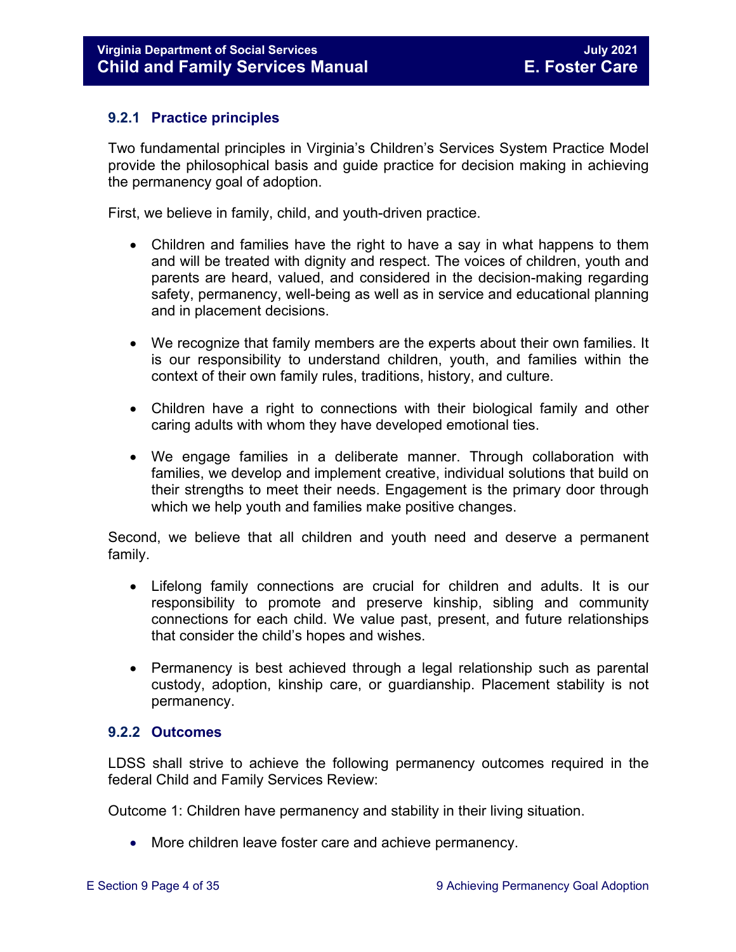#### <span id="page-3-0"></span>**9.2.1 Practice principles**

Two fundamental principles in Virginia's Children's Services System Practice Model provide the philosophical basis and guide practice for decision making in achieving the permanency goal of adoption.

First, we believe in family, child, and youth-driven practice.

- Children and families have the right to have a say in what happens to them and will be treated with dignity and respect. The voices of children, youth and parents are heard, valued, and considered in the decision-making regarding safety, permanency, well-being as well as in service and educational planning and in placement decisions.
- We recognize that family members are the experts about their own families. It is our responsibility to understand children, youth, and families within the context of their own family rules, traditions, history, and culture.
- Children have a right to connections with their biological family and other caring adults with whom they have developed emotional ties.
- We engage families in a deliberate manner. Through collaboration with families, we develop and implement creative, individual solutions that build on their strengths to meet their needs. Engagement is the primary door through which we help youth and families make positive changes.

Second, we believe that all children and youth need and deserve a permanent family.

- Lifelong family connections are crucial for children and adults. It is our responsibility to promote and preserve kinship, sibling and community connections for each child. We value past, present, and future relationships that consider the child's hopes and wishes.
- Permanency is best achieved through a legal relationship such as parental custody, adoption, kinship care, or guardianship. Placement stability is not permanency.

#### <span id="page-3-1"></span>**9.2.2 Outcomes**

LDSS shall strive to achieve the following permanency outcomes required in the federal Child and Family Services Review:

Outcome 1: Children have permanency and stability in their living situation.

• More children leave foster care and achieve permanency.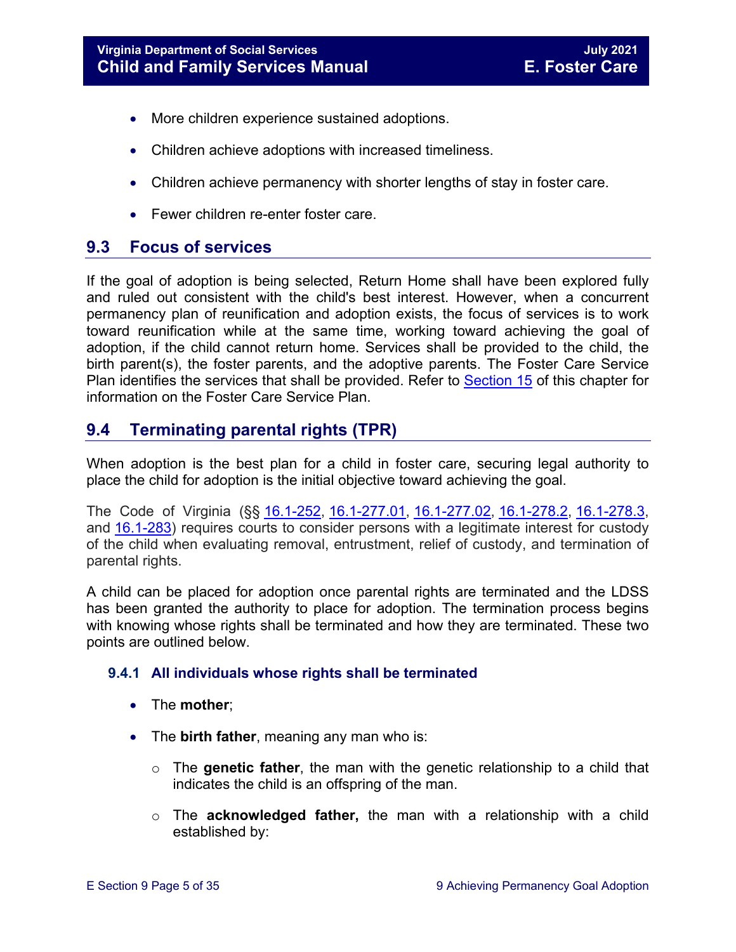- More children experience sustained adoptions.
- Children achieve adoptions with increased timeliness.
- Children achieve permanency with shorter lengths of stay in foster care.
- Fewer children re-enter foster care

# <span id="page-4-0"></span>**9.3 Focus of services**

If the goal of adoption is being selected, Return Home shall have been explored fully and ruled out consistent with the child's best interest. However, when a concurrent permanency plan of reunification and adoption exists, the focus of services is to work toward reunification while at the same time, working toward achieving the goal of adoption, if the child cannot return home. Services shall be provided to the child, the birth parent(s), the foster parents, and the adoptive parents. The Foster Care Service Plan identifies the services that shall be provided. Refer to [Section 15](https://fusion.dss.virginia.gov/Portals/%5bdfs%5d/Files/DFS%20Manuals/Foster%20Care%20Manuals/Foster%20Care%20Manual%2007-2020/Final%20Foster%20Care%20Manual%2007-2020/section_15_developing_service_plan.pdf) of this chapter for information on the Foster Care Service Plan.

# <span id="page-4-1"></span>**9.4 Terminating parental rights (TPR)**

When adoption is the best plan for a child in foster care, securing legal authority to place the child for adoption is the initial objective toward achieving the goal.

The Code of Virginia (§§ [16.1-252,](https://law.lis.virginia.gov/vacode/title16.1/chapter11/section16.1-252/) [16.1-277.01,](https://law.lis.virginia.gov/vacode/title16.1/chapter11/section16.1-277.01/) [16.1-277.02,](https://law.lis.virginia.gov/vacode/title16.1/chapter11/section16.1-277.02/) [16.1-278.2,](https://law.lis.virginia.gov/vacode/title16.1/chapter11/section16.1-278.2/) [16.1-278.3,](https://law.lis.virginia.gov/vacode/title16.1/chapter11/section16.1-278.3/) and [16.1-283\)](https://law.lis.virginia.gov/vacode/title16.1/chapter11/section16.1-283/) requires courts to consider persons with a legitimate interest for custody of the child when evaluating removal, entrustment, relief of custody, and termination of parental rights.

A child can be placed for adoption once parental rights are terminated and the LDSS has been granted the authority to place for adoption. The termination process begins with knowing whose rights shall be terminated and how they are terminated. These two points are outlined below.

#### <span id="page-4-2"></span>**9.4.1 All individuals whose rights shall be terminated**

- The **mother**;
- The **birth father**, meaning any man who is:
	- o The **genetic father**, the man with the genetic relationship to a child that indicates the child is an offspring of the man.
	- o The **acknowledged father,** the man with a relationship with a child established by: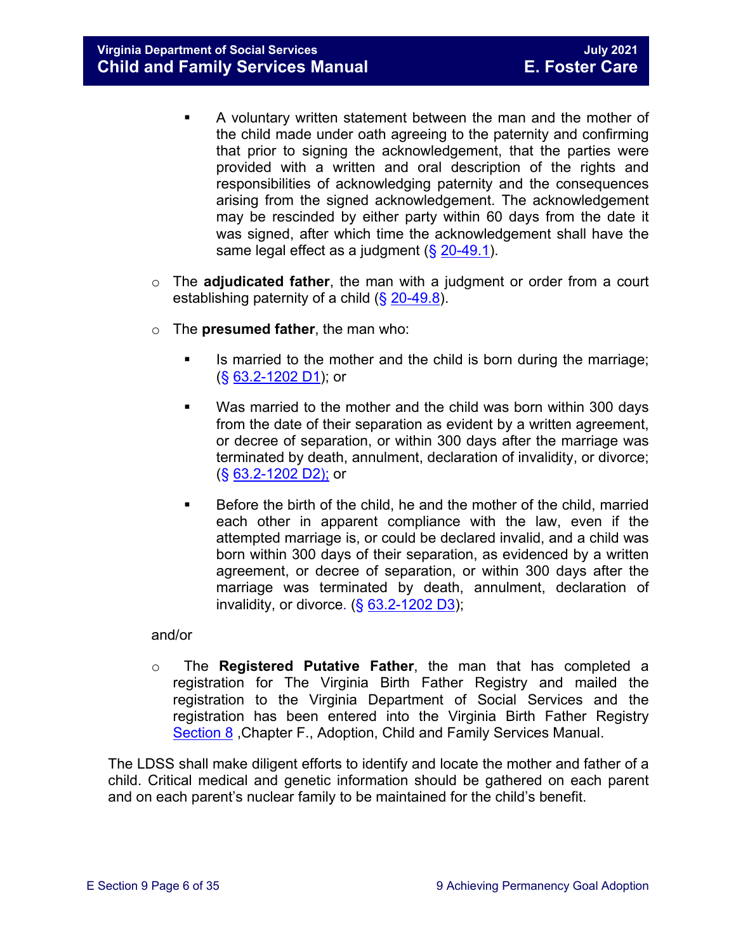**Virginia Department of Social Services July 2021 Child and Family Services Manual** 

- A voluntary written statement between the man and the mother of the child made under oath agreeing to the paternity and confirming that prior to signing the acknowledgement, that the parties were provided with a written and oral description of the rights and responsibilities of acknowledging paternity and the consequences arising from the signed acknowledgement. The acknowledgement may be rescinded by either party within 60 days from the date it was signed, after which time the acknowledgement shall have the same legal effect as a judgment  $(\frac{6}{5} \cdot \frac{20-49.1}{2})$ .
- o The **adjudicated father**, the man with a judgment or order from a court establishing paternity of a child (§ [20-49.8\)](https://law.lis.virginia.gov/vacode/20-49.8/).
- o The **presumed father**, the man who:
	- Is married to the mother and the child is born during the marriage; (§ [63.2-1202 D1\)](https://law.lis.virginia.gov/vacode/63.2-1202/); or
	- Was married to the mother and the child was born within 300 days from the date of their separation as evident by a written agreement, or decree of separation, or within 300 days after the marriage was terminated by death, annulment, declaration of invalidity, or divorce; (§ [63.2-1202 D2\);](https://law.lis.virginia.gov/vacode/63.2-1202/) or
	- **Before the birth of the child, he and the mother of the child, married** each other in apparent compliance with the law, even if the attempted marriage is, or could be declared invalid, and a child was born within 300 days of their separation, as evidenced by a written agreement, or decree of separation, or within 300 days after the marriage was terminated by death, annulment, declaration of invalidity, or divorce.  $( $\S$  63.2-1202 D3)$  $( $\S$  63.2-1202 D3)$ ;

and/or

o The **Registered Putative Father**, the man that has completed a registration for The Virginia Birth Father Registry and mailed the registration to the Virginia Department of Social Services and the registration has been entered into the Virginia Birth Father Registry [Section 8](https://fusion.dss.virginia.gov/Portals/%5Bdfs%5D/Files/Adoption/Guidance/2020/section_8_virginia%20birth%20father%20registry.pdf) ,Chapter F., Adoption, Child and Family Services Manual.

The LDSS shall make diligent efforts to identify and locate the mother and father of a child. Critical medical and genetic information should be gathered on each parent and on each parent's nuclear family to be maintained for the child's benefit.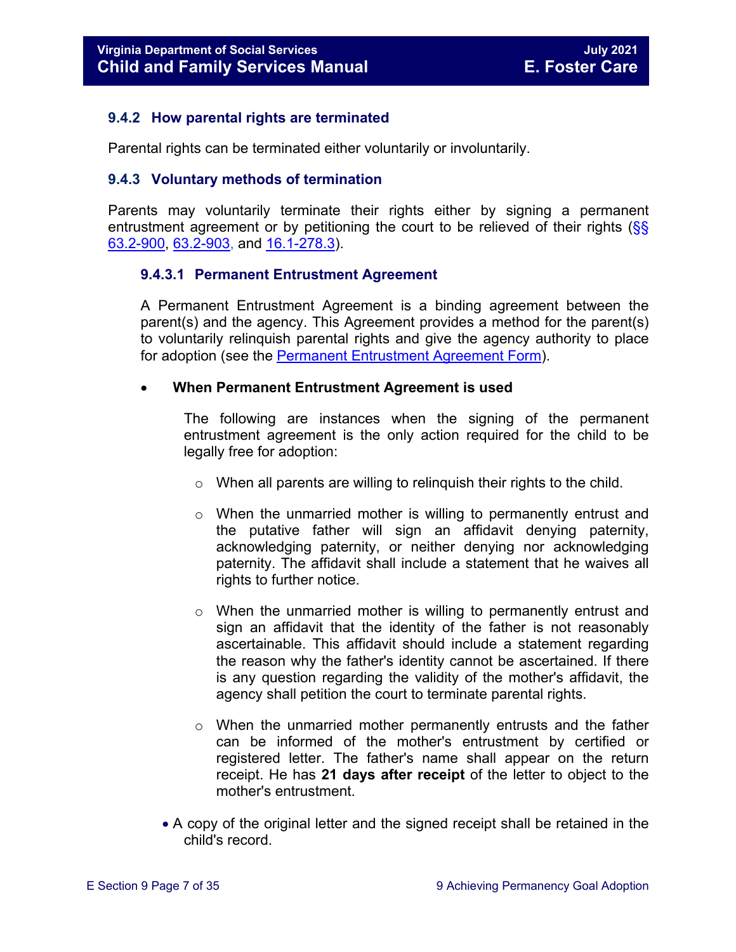#### <span id="page-6-0"></span>**9.4.2 How parental rights are terminated**

Parental rights can be terminated either voluntarily or involuntarily.

#### <span id="page-6-1"></span>**9.4.3 Voluntary methods of termination**

Parents may voluntarily terminate their rights either by signing a permanent entrustment agreement or by petitioning the court to be relieved of their rights  $\frac{\sqrt{SS}}{SS}$ [63.2-900,](https://law.lis.virginia.gov/vacode/63.2-900/) [63.2-903,](https://law.lis.virginia.gov/vacode/63.2-903/) and [16.1-278.3\)](https://law.lis.virginia.gov/vacode/16.1-278.3/).

#### **9.4.3.1 Permanent Entrustment Agreement**

A Permanent Entrustment Agreement is a binding agreement between the parent(s) and the agency. This Agreement provides a method for the parent(s) to voluntarily relinquish parental rights and give the agency authority to place for adoption (see the [Permanent Entrustment Agreement Form\)](https://fusion.dss.virginia.gov/Portals/%5Bdfs%5D/Files/DFS%20FORMS/Family%20Services-Generic%20Forms/Entrustment%20Agreement%20for%20Permanent%20Surrender%20of%20a%20Child.pdf).

#### • **When Permanent Entrustment Agreement is used**

The following are instances when the signing of the permanent entrustment agreement is the only action required for the child to be legally free for adoption:

- o When all parents are willing to relinquish their rights to the child.
- $\circ$  When the unmarried mother is willing to permanently entrust and the putative father will sign an affidavit denying paternity, acknowledging paternity, or neither denying nor acknowledging paternity. The affidavit shall include a statement that he waives all rights to further notice.
- $\circ$  When the unmarried mother is willing to permanently entrust and sign an affidavit that the identity of the father is not reasonably ascertainable. This affidavit should include a statement regarding the reason why the father's identity cannot be ascertained. If there is any question regarding the validity of the mother's affidavit, the agency shall petition the court to terminate parental rights.
- $\circ$  When the unmarried mother permanently entrusts and the father can be informed of the mother's entrustment by certified or registered letter. The father's name shall appear on the return receipt. He has **21 days after receipt** of the letter to object to the mother's entrustment.
- A copy of the original letter and the signed receipt shall be retained in the child's record.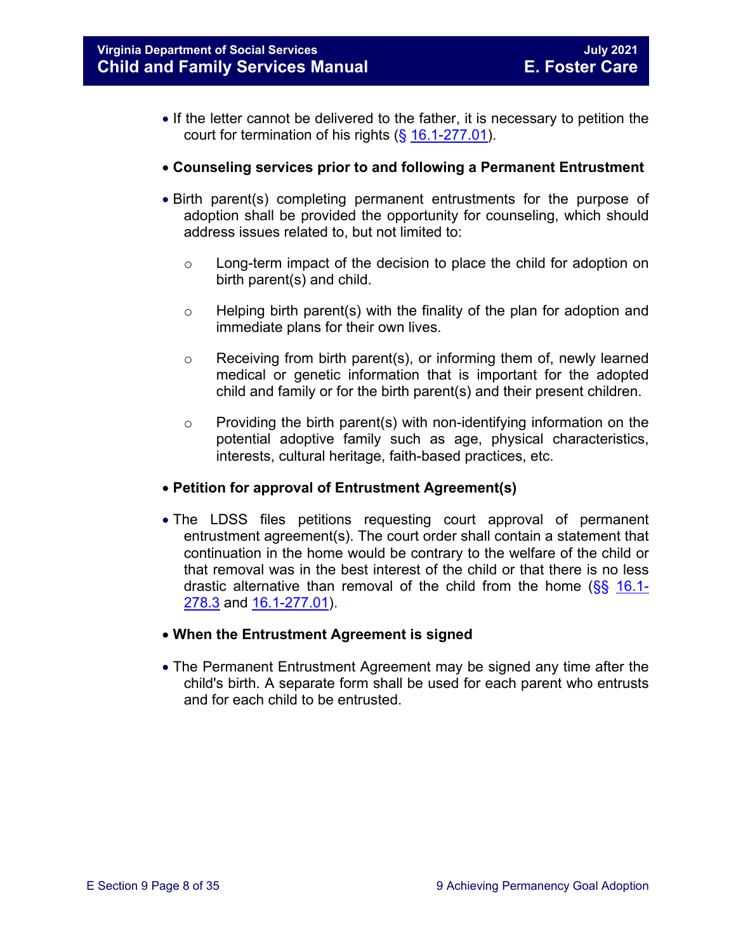- If the letter cannot be delivered to the father, it is necessary to petition the court for termination of his rights (§ [16.1-277.01\)](https://law.lis.virginia.gov/vacode/16.1-277.01/).
- **Counseling services prior to and following a Permanent Entrustment**
- Birth parent(s) completing permanent entrustments for the purpose of adoption shall be provided the opportunity for counseling, which should address issues related to, but not limited to:
	- $\circ$  Long-term impact of the decision to place the child for adoption on birth parent(s) and child.
	- $\circ$  Helping birth parent(s) with the finality of the plan for adoption and immediate plans for their own lives.
	- $\circ$  Receiving from birth parent(s), or informing them of, newly learned medical or genetic information that is important for the adopted child and family or for the birth parent(s) and their present children.
	- $\circ$  Providing the birth parent(s) with non-identifying information on the potential adoptive family such as age, physical characteristics, interests, cultural heritage, faith-based practices, etc.

#### • **Petition for approval of Entrustment Agreement(s)**

- The LDSS files petitions requesting court approval of permanent entrustment agreement(s). The court order shall contain a statement that continuation in the home would be contrary to the welfare of the child or that removal was in the best interest of the child or that there is no less drastic alternative than removal of the child from the home  $(\frac{8}{5})$  [16.1-](https://law.lis.virginia.gov/vacode/16.1-278.3/) [278.3](https://law.lis.virginia.gov/vacode/16.1-278.3/) and [16.1-277.01\)](https://law.lis.virginia.gov/vacode/16.1-277.01/).
- **When the Entrustment Agreement is signed**
- The Permanent Entrustment Agreement may be signed any time after the child's birth. A separate form shall be used for each parent who entrusts and for each child to be entrusted.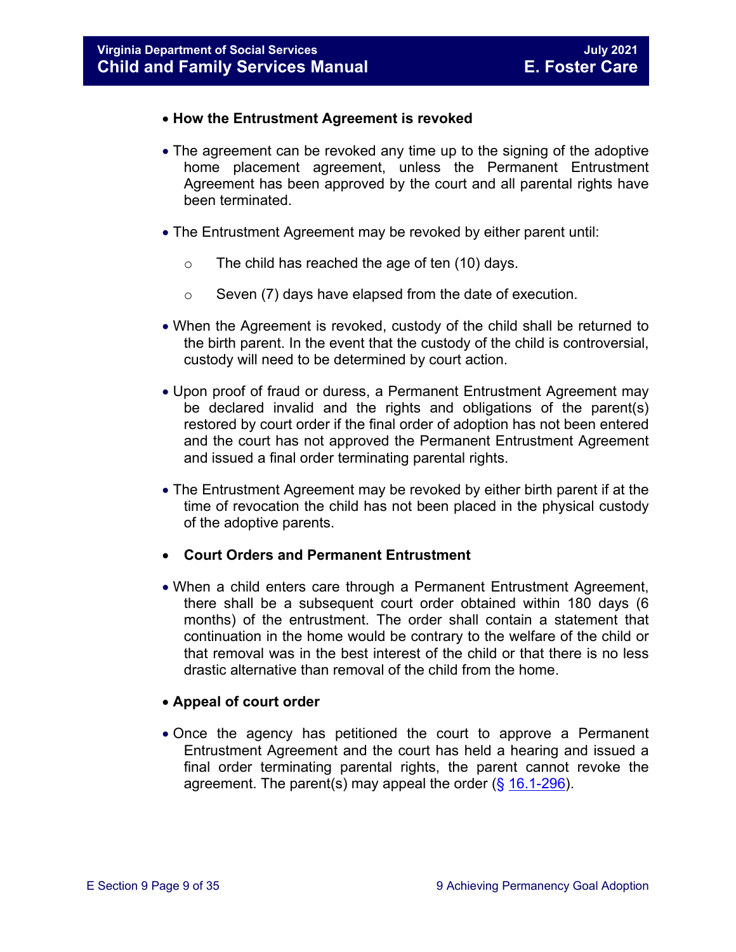#### • **How the Entrustment Agreement is revoked**

- The agreement can be revoked any time up to the signing of the adoptive home placement agreement, unless the Permanent Entrustment Agreement has been approved by the court and all parental rights have been terminated.
- The Entrustment Agreement may be revoked by either parent until:
	- $\circ$  The child has reached the age of ten (10) days.
	- $\circ$  Seven (7) days have elapsed from the date of execution.
- When the Agreement is revoked, custody of the child shall be returned to the birth parent. In the event that the custody of the child is controversial, custody will need to be determined by court action.
- Upon proof of fraud or duress, a Permanent Entrustment Agreement may be declared invalid and the rights and obligations of the parent(s) restored by court order if the final order of adoption has not been entered and the court has not approved the Permanent Entrustment Agreement and issued a final order terminating parental rights.
- The Entrustment Agreement may be revoked by either birth parent if at the time of revocation the child has not been placed in the physical custody of the adoptive parents.

#### • **Court Orders and Permanent Entrustment**

• When a child enters care through a Permanent Entrustment Agreement, there shall be a subsequent court order obtained within 180 days (6 months) of the entrustment. The order shall contain a statement that continuation in the home would be contrary to the welfare of the child or that removal was in the best interest of the child or that there is no less drastic alternative than removal of the child from the home.

#### • **Appeal of court order**

• Once the agency has petitioned the court to approve a Permanent Entrustment Agreement and the court has held a hearing and issued a final order terminating parental rights, the parent cannot revoke the agreement. The parent(s) may appeal the order ( $\S$  [16.1-296\)](https://law.lis.virginia.gov/vacode/16.1-296/).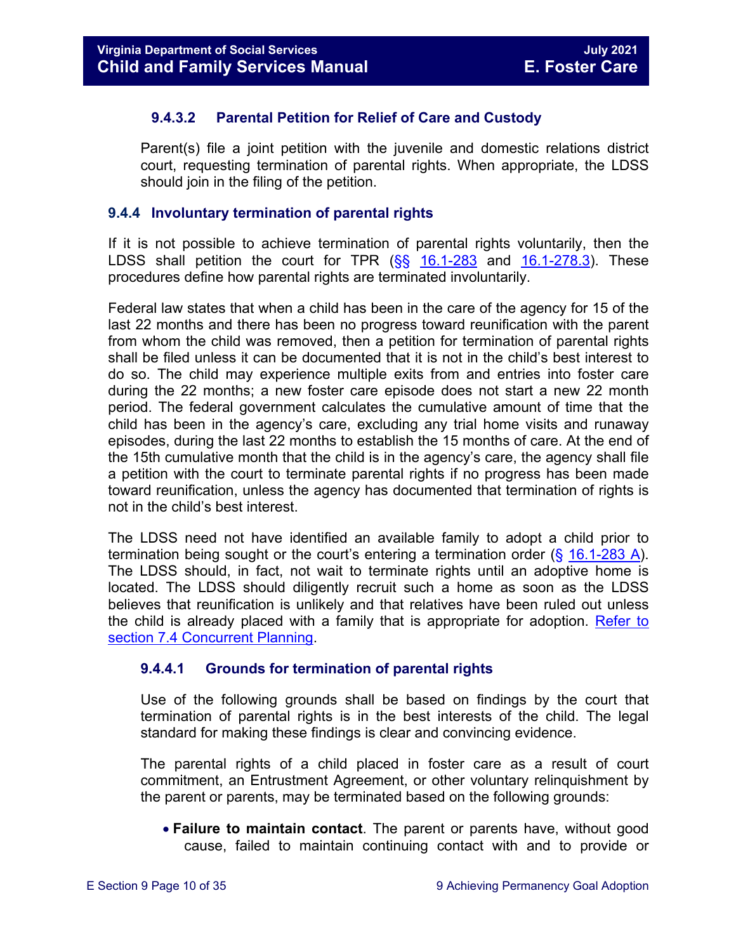#### **9.4.3.2 Parental Petition for Relief of Care and Custody**

Parent(s) file a joint petition with the juvenile and domestic relations district court, requesting termination of parental rights. When appropriate, the LDSS should join in the filing of the petition.

#### <span id="page-9-0"></span>**9.4.4 Involuntary termination of parental rights**

If it is not possible to achieve termination of parental rights voluntarily, then the LDSS shall petition the court for TPR  $(S_5 \ 16.1-283 \$  $(S_5 \ 16.1-283 \$  $(S_5 \ 16.1-283 \$  and  $16.1-278.3)$ . These procedures define how parental rights are terminated involuntarily.

Federal law states that when a child has been in the care of the agency for 15 of the last 22 months and there has been no progress toward reunification with the parent from whom the child was removed, then a petition for termination of parental rights shall be filed unless it can be documented that it is not in the child's best interest to do so. The child may experience multiple exits from and entries into foster care during the 22 months; a new foster care episode does not start a new 22 month period. The federal government calculates the cumulative amount of time that the child has been in the agency's care, excluding any trial home visits and runaway episodes, during the last 22 months to establish the 15 months of care. At the end of the 15th cumulative month that the child is in the agency's care, the agency shall file a petition with the court to terminate parental rights if no progress has been made toward reunification, unless the agency has documented that termination of rights is not in the child's best interest.

The LDSS need not have identified an available family to adopt a child prior to termination being sought or the court's entering a termination order (§ [16.1-283 A\)](https://law.lis.virginia.gov/vacode/16.1-283/). The LDSS should, in fact, not wait to terminate rights until an adoptive home is located. The LDSS should diligently recruit such a home as soon as the LDSS believes that reunification is unlikely and that relatives have been ruled out unless the child is already placed with a family that is appropriate for adoption. [Refer to](https://fusion.dss.virginia.gov/Portals/%5bdfs%5d/Files/DFS%20Manuals/Foster%20Care%20Manuals/Foster%20Care%20Manual%2007-2020/Final%20Foster%20Care%20Manual%2007-2020/section_7_selecting_permanency_goals#page=7)  [section 7.4 Concurrent Planning.](https://fusion.dss.virginia.gov/Portals/%5bdfs%5d/Files/DFS%20Manuals/Foster%20Care%20Manuals/Foster%20Care%20Manual%2007-2020/Final%20Foster%20Care%20Manual%2007-2020/section_7_selecting_permanency_goals#page=7)

#### **9.4.4.1 Grounds for termination of parental rights**

Use of the following grounds shall be based on findings by the court that termination of parental rights is in the best interests of the child. The legal standard for making these findings is clear and convincing evidence.

The parental rights of a child placed in foster care as a result of court commitment, an Entrustment Agreement, or other voluntary relinquishment by the parent or parents, may be terminated based on the following grounds:

• **Failure to maintain contact**. The parent or parents have, without good cause, failed to maintain continuing contact with and to provide or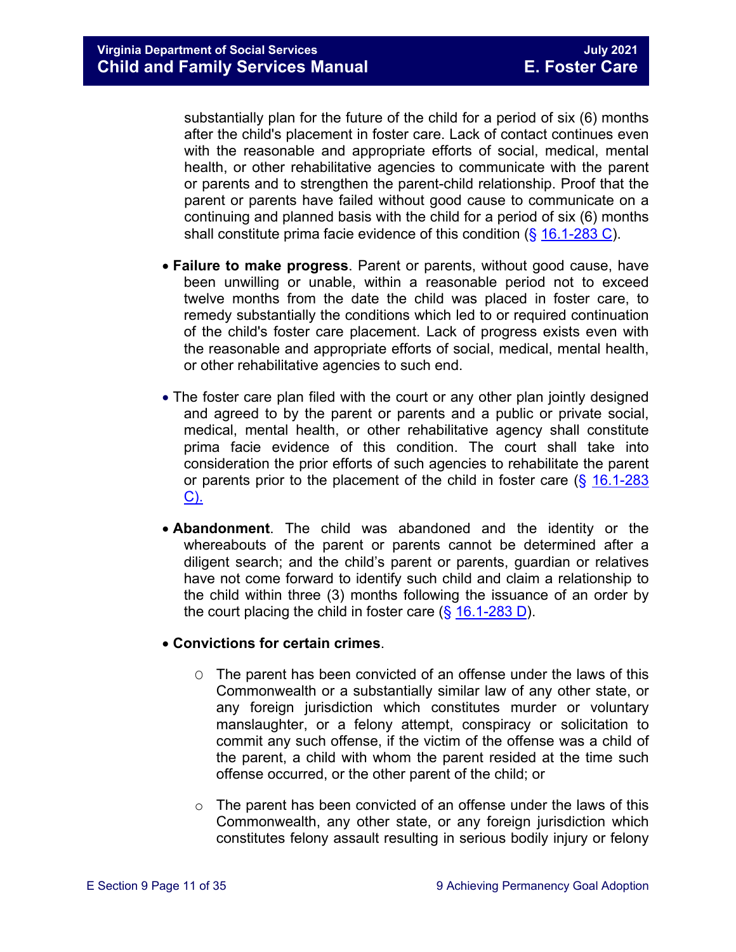substantially plan for the future of the child for a period of six (6) months after the child's placement in foster care. Lack of contact continues even with the reasonable and appropriate efforts of social, medical, mental health, or other rehabilitative agencies to communicate with the parent or parents and to strengthen the parent-child relationship. Proof that the parent or parents have failed without good cause to communicate on a continuing and planned basis with the child for a period of six (6) months shall constitute prima facie evidence of this condition (§ [16.1-283 C\)](https://law.lis.virginia.gov/vacode/16.1-283/).

- **Failure to make progress**. Parent or parents, without good cause, have been unwilling or unable, within a reasonable period not to exceed twelve months from the date the child was placed in foster care, to remedy substantially the conditions which led to or required continuation of the child's foster care placement. Lack of progress exists even with the reasonable and appropriate efforts of social, medical, mental health, or other rehabilitative agencies to such end.
- The foster care plan filed with the court or any other plan jointly designed and agreed to by the parent or parents and a public or private social, medical, mental health, or other rehabilitative agency shall constitute prima facie evidence of this condition. The court shall take into consideration the prior efforts of such agencies to rehabilitate the parent or parents prior to the placement of the child in foster care  $(\frac{6}{9} 16.1 - 283)$ [C\).](https://law.lis.virginia.gov/vacode/16.1-283/)
- **Abandonment**. The child was abandoned and the identity or the whereabouts of the parent or parents cannot be determined after a diligent search; and the child's parent or parents, guardian or relatives have not come forward to identify such child and claim a relationship to the child within three (3) months following the issuance of an order by the court placing the child in foster care  $(\S 16.1-283 D)$  $(\S 16.1-283 D)$ .

#### • **Convictions for certain crimes**.

- O The parent has been convicted of an offense under the laws of this Commonwealth or a substantially similar law of any other state, or any foreign jurisdiction which constitutes murder or voluntary manslaughter, or a felony attempt, conspiracy or solicitation to commit any such offense, if the victim of the offense was a child of the parent, a child with whom the parent resided at the time such offense occurred, or the other parent of the child; or
- $\circ$  The parent has been convicted of an offense under the laws of this Commonwealth, any other state, or any foreign jurisdiction which constitutes felony assault resulting in serious bodily injury or felony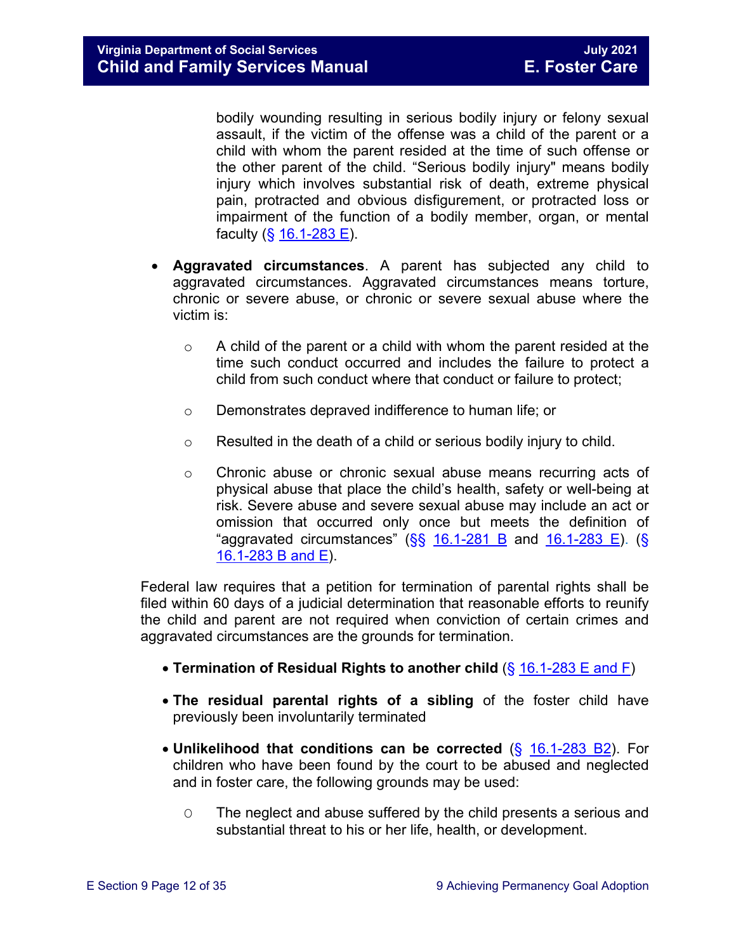bodily wounding resulting in serious bodily injury or felony sexual assault, if the victim of the offense was a child of the parent or a child with whom the parent resided at the time of such offense or the other parent of the child. "Serious bodily injury" means bodily injury which involves substantial risk of death, extreme physical pain, protracted and obvious disfigurement, or protracted loss or impairment of the function of a bodily member, organ, or mental faculty  $(\S 16.1 - 283 \E)$ .

- **Aggravated circumstances**. A parent has subjected any child to aggravated circumstances. Aggravated circumstances means torture, chronic or severe abuse, or chronic or severe sexual abuse where the victim is:
	- $\circ$  A child of the parent or a child with whom the parent resided at the time such conduct occurred and includes the failure to protect a child from such conduct where that conduct or failure to protect;
	- o Demonstrates depraved indifference to human life; or
	- $\circ$  Resulted in the death of a child or serious bodily injury to child.
	- $\circ$  Chronic abuse or chronic sexual abuse means recurring acts of physical abuse that place the child's health, safety or well-being at risk. Severe abuse and severe sexual abuse may include an act or omission that occurred only once but meets the definition of "aggravated circumstances"  $(SS \ 16.1-281 \ B$  and  $16.1-283 \ E)$ . (S) [16.1-283 B and E\)](https://law.lis.virginia.gov/vacode/16.1-283/).

Federal law requires that a petition for termination of parental rights shall be filed within 60 days of a judicial determination that reasonable efforts to reunify the child and parent are not required when conviction of certain crimes and aggravated circumstances are the grounds for termination.

- **Termination of Residual Rights to another child** (§ [16.1-283 E and F\)](https://law.lis.virginia.gov/vacode/16.1-283/)
- **The residual parental rights of a sibling** of the foster child have previously been involuntarily terminated
- **Unlikelihood that conditions can be corrected** (§ [16.1-283 B2\)](https://law.lis.virginia.gov/vacode/16.1-283/). For children who have been found by the court to be abused and neglected and in foster care, the following grounds may be used:
	- O The neglect and abuse suffered by the child presents a serious and substantial threat to his or her life, health, or development.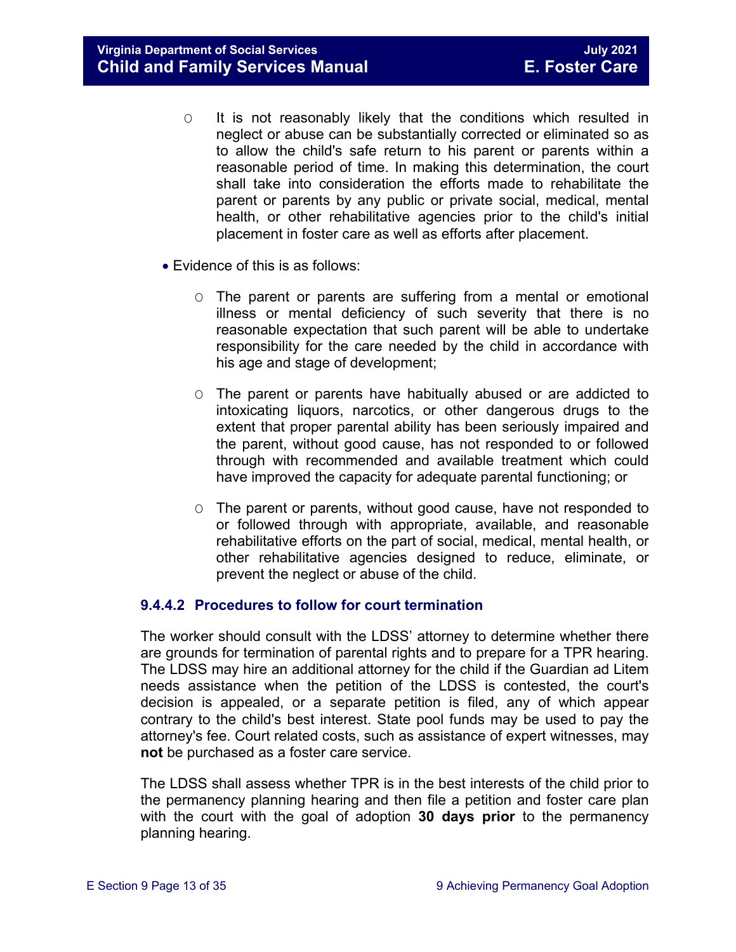**Virginia Department of Social Services**<br> **Child and Family Services Manual Child and Family Services Manual Child and Family Services Manual Child and Family Services Manual** 

- O It is not reasonably likely that the conditions which resulted in neglect or abuse can be substantially corrected or eliminated so as to allow the child's safe return to his parent or parents within a reasonable period of time. In making this determination, the court shall take into consideration the efforts made to rehabilitate the parent or parents by any public or private social, medical, mental health, or other rehabilitative agencies prior to the child's initial placement in foster care as well as efforts after placement.
- Evidence of this is as follows:
	- O The parent or parents are suffering from a mental or emotional illness or mental deficiency of such severity that there is no reasonable expectation that such parent will be able to undertake responsibility for the care needed by the child in accordance with his age and stage of development;
	- O The parent or parents have habitually abused or are addicted to intoxicating liquors, narcotics, or other dangerous drugs to the extent that proper parental ability has been seriously impaired and the parent, without good cause, has not responded to or followed through with recommended and available treatment which could have improved the capacity for adequate parental functioning; or
	- O The parent or parents, without good cause, have not responded to or followed through with appropriate, available, and reasonable rehabilitative efforts on the part of social, medical, mental health, or other rehabilitative agencies designed to reduce, eliminate, or prevent the neglect or abuse of the child.

#### **9.4.4.2 Procedures to follow for court termination**

The worker should consult with the LDSS' attorney to determine whether there are grounds for termination of parental rights and to prepare for a TPR hearing. The LDSS may hire an additional attorney for the child if the Guardian ad Litem needs assistance when the petition of the LDSS is contested, the court's decision is appealed, or a separate petition is filed, any of which appear contrary to the child's best interest. State pool funds may be used to pay the attorney's fee. Court related costs, such as assistance of expert witnesses, may **not** be purchased as a foster care service.

The LDSS shall assess whether TPR is in the best interests of the child prior to the permanency planning hearing and then file a petition and foster care plan with the court with the goal of adoption **30 days prior** to the permanency planning hearing.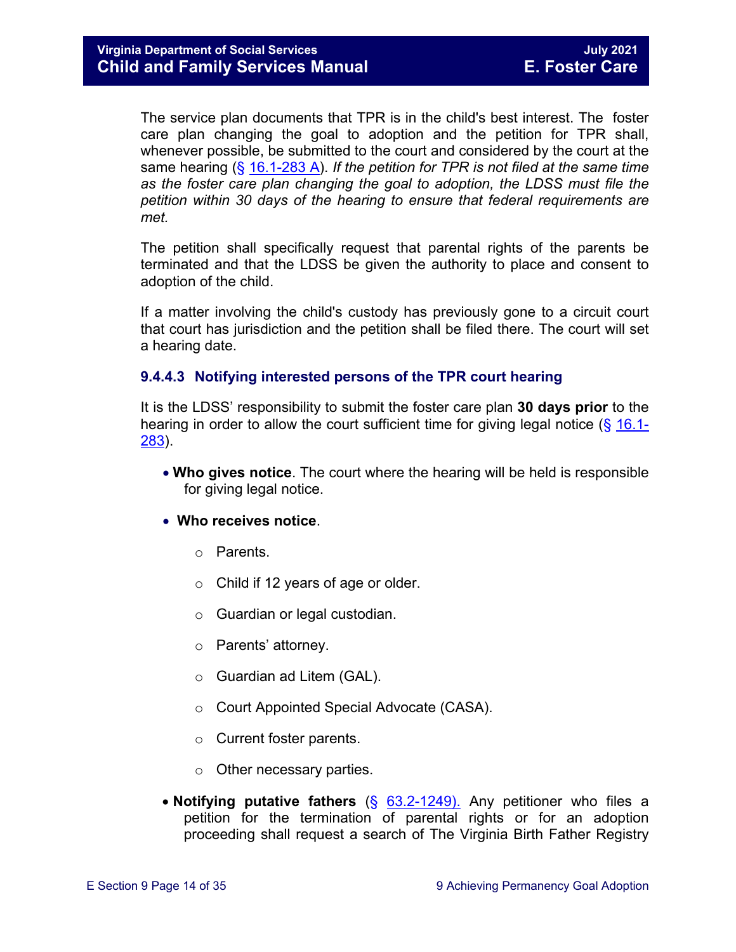The service plan documents that TPR is in the child's best interest. The foster care plan changing the goal to adoption and the petition for TPR shall, whenever possible, be submitted to the court and considered by the court at the same hearing (§ [16.1-283 A\)](https://law.lis.virginia.gov/vacode/16.1-283/). *If the petition for TPR is not filed at the same time as the foster care plan changing the goal to adoption, the LDSS must file the petition within 30 days of the hearing to ensure that federal requirements are met.*

The petition shall specifically request that parental rights of the parents be terminated and that the LDSS be given the authority to place and consent to adoption of the child.

If a matter involving the child's custody has previously gone to a circuit court that court has jurisdiction and the petition shall be filed there. The court will set a hearing date.

#### **9.4.4.3 Notifying interested persons of the TPR court hearing**

It is the LDSS' responsibility to submit the foster care plan **30 days prior** to the hearing in order to allow the court sufficient time for giving legal notice  $(\S 16.1 -$ [283\)](https://law.lis.virginia.gov/vacode/16.1-283/).

• **Who gives notice**. The court where the hearing will be held is responsible for giving legal notice.

#### • **Who receives notice**.

- o Parents.
- $\circ$  Child if 12 years of age or older.
- o Guardian or legal custodian.
- o Parents' attorney.
- o Guardian ad Litem (GAL).
- o Court Appointed Special Advocate (CASA).
- o Current foster parents.
- o Other necessary parties.
- **Notifying putative fathers** (§ [63.2-1249\).](https://law.lis.virginia.gov/vacode/63.2-1249/) Any petitioner who files a petition for the termination of parental rights or for an adoption proceeding shall request a search of The Virginia Birth Father Registry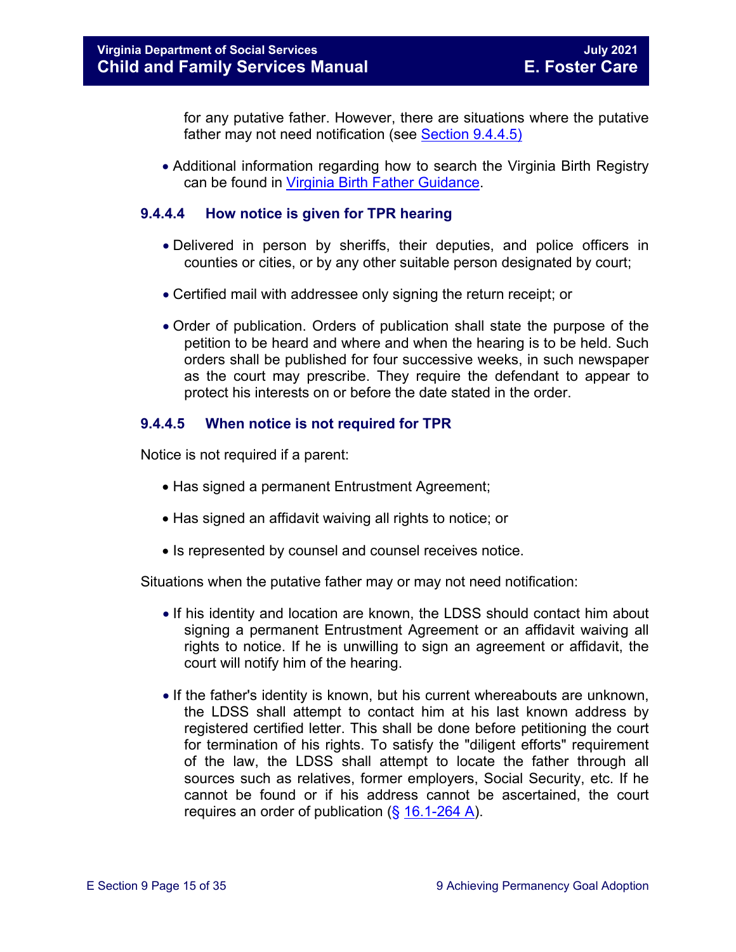for any putative father. However, there are situations where the putative father may not need notification (see [Section 9.4.4.5\)](#page-14-0)

• Additional information regarding how to search the Virginia Birth Registry can be found in Virginia Birth [Father Guidance.](https://fusion.dss.virginia.gov/Portals/%5Bdfs%5D/Files/Adoption/Guidance/2020/section_8_virginia%20birth%20father%20registry.pdf#page=7)

#### **9.4.4.4 How notice is given for TPR hearing**

- Delivered in person by sheriffs, their deputies, and police officers in counties or cities, or by any other suitable person designated by court;
- Certified mail with addressee only signing the return receipt; or
- Order of publication. Orders of publication shall state the purpose of the petition to be heard and where and when the hearing is to be held. Such orders shall be published for four successive weeks, in such newspaper as the court may prescribe. They require the defendant to appear to protect his interests on or before the date stated in the order.

#### <span id="page-14-0"></span>**9.4.4.5 When notice is not required for TPR**

Notice is not required if a parent:

- Has signed a permanent Entrustment Agreement;
- Has signed an affidavit waiving all rights to notice; or
- Is represented by counsel and counsel receives notice.

Situations when the putative father may or may not need notification:

- If his identity and location are known, the LDSS should contact him about signing a permanent Entrustment Agreement or an affidavit waiving all rights to notice. If he is unwilling to sign an agreement or affidavit, the court will notify him of the hearing.
- If the father's identity is known, but his current whereabouts are unknown, the LDSS shall attempt to contact him at his last known address by registered certified letter. This shall be done before petitioning the court for termination of his rights. To satisfy the "diligent efforts" requirement of the law, the LDSS shall attempt to locate the father through all sources such as relatives, former employers, Social Security, etc. If he cannot be found or if his address cannot be ascertained, the court requires an order of publication  $(\S 16.1-264 A)$  $(\S 16.1-264 A)$ .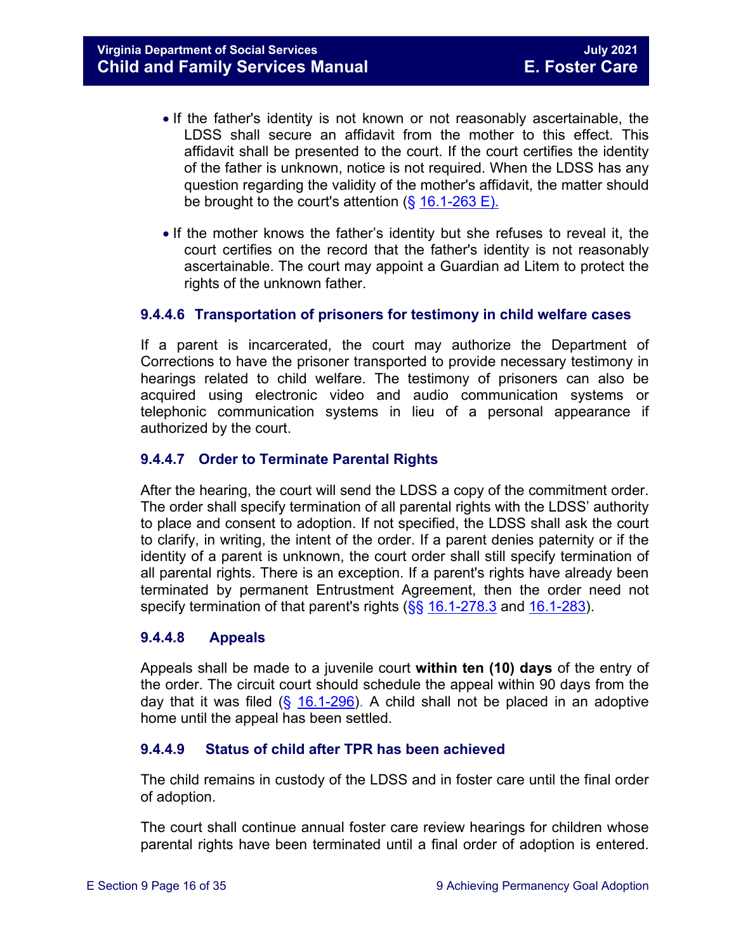- If the father's identity is not known or not reasonably ascertainable, the LDSS shall secure an affidavit from the mother to this effect. This affidavit shall be presented to the court. If the court certifies the identity of the father is unknown, notice is not required. When the LDSS has any question regarding the validity of the mother's affidavit, the matter should be brought to the court's attention  $(\S 16.1\n-263 E)$ .
- If the mother knows the father's identity but she refuses to reveal it, the court certifies on the record that the father's identity is not reasonably ascertainable. The court may appoint a Guardian ad Litem to protect the rights of the unknown father.

#### **9.4.4.6 Transportation of prisoners for testimony in child welfare cases**

If a parent is incarcerated, the court may authorize the Department of Corrections to have the prisoner transported to provide necessary testimony in hearings related to child welfare. The testimony of prisoners can also be acquired using electronic video and audio communication systems or telephonic communication systems in lieu of a personal appearance if authorized by the court.

#### **9.4.4.7 Order to Terminate Parental Rights**

After the hearing, the court will send the LDSS a copy of the commitment order. The order shall specify termination of all parental rights with the LDSS' authority to place and consent to adoption. If not specified, the LDSS shall ask the court to clarify, in writing, the intent of the order. If a parent denies paternity or if the identity of a parent is unknown, the court order shall still specify termination of all parental rights. There is an exception. If a parent's rights have already been terminated by permanent Entrustment Agreement, then the order need not specify termination of that parent's rights  $(\frac{6}{5}16.1-278.3)$  $(\frac{6}{5}16.1-278.3)$  $(\frac{6}{5}16.1-278.3)$  and  $16.1-283$ .

#### **9.4.4.8 Appeals**

Appeals shall be made to a juvenile court **within ten (10) days** of the entry of the order. The circuit court should schedule the appeal within 90 days from the day that it was filed  $(\S$  [16.1-296\)](https://law.lis.virginia.gov/vacode/16.1-296/). A child shall not be placed in an adoptive home until the appeal has been settled.

#### **9.4.4.9 Status of child after TPR has been achieved**

The child remains in custody of the LDSS and in foster care until the final order of adoption.

The court shall continue annual foster care review hearings for children whose parental rights have been terminated until a final order of adoption is entered.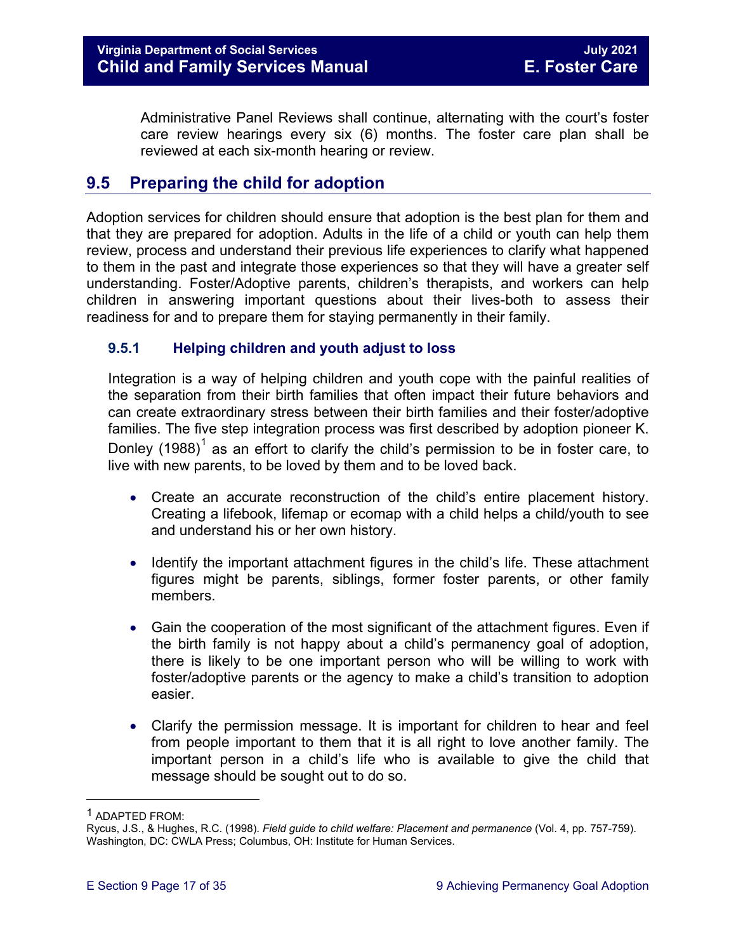Administrative Panel Reviews shall continue, alternating with the court's foster care review hearings every six (6) months. The foster care plan shall be reviewed at each six-month hearing or review.

# <span id="page-16-0"></span>**9.5 Preparing the child for adoption**

Adoption services for children should ensure that adoption is the best plan for them and that they are prepared for adoption. Adults in the life of a child or youth can help them review, process and understand their previous life experiences to clarify what happened to them in the past and integrate those experiences so that they will have a greater self understanding. Foster/Adoptive parents, children's therapists, and workers can help children in answering important questions about their lives-both to assess their readiness for and to prepare them for staying permanently in their family.

#### <span id="page-16-1"></span>**9.5.1 Helping children and youth adjust to loss**

Integration is a way of helping children and youth cope with the painful realities of the separation from their birth families that often impact their future behaviors and can create extraordinary stress between their birth families and their foster/adoptive families. The five step integration process was first described by adoption pioneer K. Donley ([1](#page-16-2)988)<sup>1</sup> as an effort to clarify the child's permission to be in foster care, to live with new parents, to be loved by them and to be loved back.

- Create an accurate reconstruction of the child's entire placement history. Creating a lifebook, lifemap or ecomap with a child helps a child/youth to see and understand his or her own history.
- Identify the important attachment figures in the child's life. These attachment figures might be parents, siblings, former foster parents, or other family members.
- Gain the cooperation of the most significant of the attachment figures. Even if the birth family is not happy about a child's permanency goal of adoption, there is likely to be one important person who will be willing to work with foster/adoptive parents or the agency to make a child's transition to adoption easier.
- Clarify the permission message. It is important for children to hear and feel from people important to them that it is all right to love another family. The important person in a child's life who is available to give the child that message should be sought out to do so.

ī

<span id="page-16-2"></span><sup>1</sup> ADAPTED FROM:

Rycus, J.S., & Hughes, R.C. (1998). *Field guide to child welfare: Placement and permanence* (Vol. 4, pp. 757-759). Washington, DC: CWLA Press; Columbus, OH: Institute for Human Services.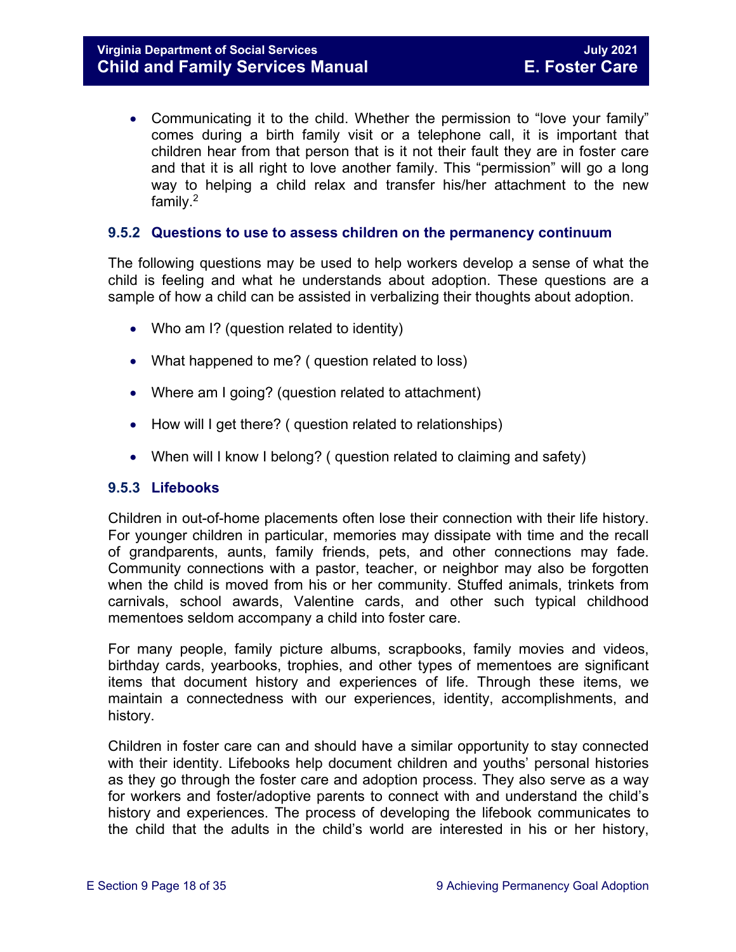• Communicating it to the child. Whether the permission to "love your family" comes during a birth family visit or a telephone call, it is important that children hear from that person that is it not their fault they are in foster care and that it is all right to love another family. This "permission" will go a long way to helping a child relax and transfer his/her attachment to the new family.2

#### <span id="page-17-0"></span>**9.5.2 Questions to use to assess children on the permanency continuum**

The following questions may be used to help workers develop a sense of what the child is feeling and what he understands about adoption. These questions are a sample of how a child can be assisted in verbalizing their thoughts about adoption.

- Who am I? (question related to identity)
- What happened to me? ( question related to loss)
- Where am I going? (question related to attachment)
- How will I get there? ( question related to relationships)
- When will I know I belong? ( question related to claiming and safety)

#### <span id="page-17-1"></span>**9.5.3 Lifebooks**

Children in out-of-home placements often lose their connection with their life history. For younger children in particular, memories may dissipate with time and the recall of grandparents, aunts, family friends, pets, and other connections may fade. Community connections with a pastor, teacher, or neighbor may also be forgotten when the child is moved from his or her community. Stuffed animals, trinkets from carnivals, school awards, Valentine cards, and other such typical childhood mementoes seldom accompany a child into foster care.

For many people, family picture albums, scrapbooks, family movies and videos, birthday cards, yearbooks, trophies, and other types of mementoes are significant items that document history and experiences of life. Through these items, we maintain a connectedness with our experiences, identity, accomplishments, and history.

Children in foster care can and should have a similar opportunity to stay connected with their identity. Lifebooks help document children and youths' personal histories as they go through the foster care and adoption process. They also serve as a way for workers and foster/adoptive parents to connect with and understand the child's history and experiences. The process of developing the lifebook communicates to the child that the adults in the child's world are interested in his or her history,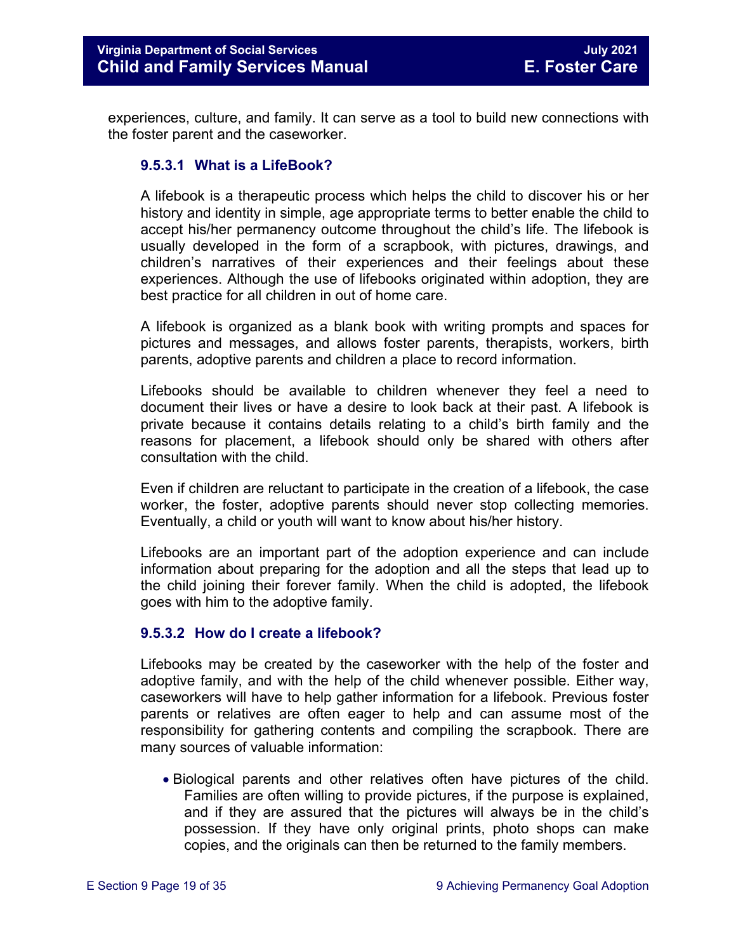experiences, culture, and family. It can serve as a tool to build new connections with the foster parent and the caseworker.

#### **9.5.3.1 What is a LifeBook?**

A lifebook is a therapeutic process which helps the child to discover his or her history and identity in simple, age appropriate terms to better enable the child to accept his/her permanency outcome throughout the child's life. The lifebook is usually developed in the form of a scrapbook, with pictures, drawings, and children's narratives of their experiences and their feelings about these experiences. Although the use of lifebooks originated within adoption, they are best practice for all children in out of home care.

A lifebook is organized as a blank book with writing prompts and spaces for pictures and messages, and allows foster parents, therapists, workers, birth parents, adoptive parents and children a place to record information.

Lifebooks should be available to children whenever they feel a need to document their lives or have a desire to look back at their past. A lifebook is private because it contains details relating to a child's birth family and the reasons for placement, a lifebook should only be shared with others after consultation with the child.

Even if children are reluctant to participate in the creation of a lifebook, the case worker, the foster, adoptive parents should never stop collecting memories. Eventually, a child or youth will want to know about his/her history.

Lifebooks are an important part of the adoption experience and can include information about preparing for the adoption and all the steps that lead up to the child joining their forever family. When the child is adopted, the lifebook goes with him to the adoptive family.

#### **9.5.3.2 How do I create a lifebook?**

Lifebooks may be created by the caseworker with the help of the foster and adoptive family, and with the help of the child whenever possible. Either way, caseworkers will have to help gather information for a lifebook. Previous foster parents or relatives are often eager to help and can assume most of the responsibility for gathering contents and compiling the scrapbook. There are many sources of valuable information:

• Biological parents and other relatives often have pictures of the child. Families are often willing to provide pictures, if the purpose is explained, and if they are assured that the pictures will always be in the child's possession. If they have only original prints, photo shops can make copies, and the originals can then be returned to the family members.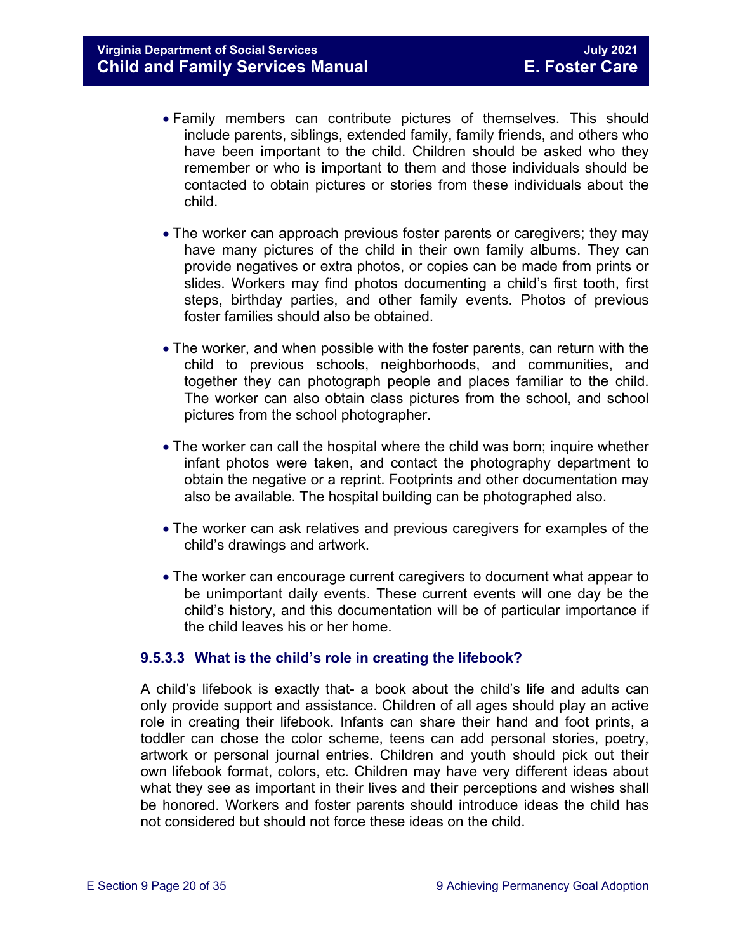- Family members can contribute pictures of themselves. This should include parents, siblings, extended family, family friends, and others who have been important to the child. Children should be asked who they remember or who is important to them and those individuals should be contacted to obtain pictures or stories from these individuals about the child.
- The worker can approach previous foster parents or caregivers; they may have many pictures of the child in their own family albums. They can provide negatives or extra photos, or copies can be made from prints or slides. Workers may find photos documenting a child's first tooth, first steps, birthday parties, and other family events. Photos of previous foster families should also be obtained.
- The worker, and when possible with the foster parents, can return with the child to previous schools, neighborhoods, and communities, and together they can photograph people and places familiar to the child. The worker can also obtain class pictures from the school, and school pictures from the school photographer.
- The worker can call the hospital where the child was born; inquire whether infant photos were taken, and contact the photography department to obtain the negative or a reprint. Footprints and other documentation may also be available. The hospital building can be photographed also.
- The worker can ask relatives and previous caregivers for examples of the child's drawings and artwork.
- The worker can encourage current caregivers to document what appear to be unimportant daily events. These current events will one day be the child's history, and this documentation will be of particular importance if the child leaves his or her home.

#### **9.5.3.3 What is the child's role in creating the lifebook?**

A child's lifebook is exactly that- a book about the child's life and adults can only provide support and assistance. Children of all ages should play an active role in creating their lifebook. Infants can share their hand and foot prints, a toddler can chose the color scheme, teens can add personal stories, poetry, artwork or personal journal entries. Children and youth should pick out their own lifebook format, colors, etc. Children may have very different ideas about what they see as important in their lives and their perceptions and wishes shall be honored. Workers and foster parents should introduce ideas the child has not considered but should not force these ideas on the child.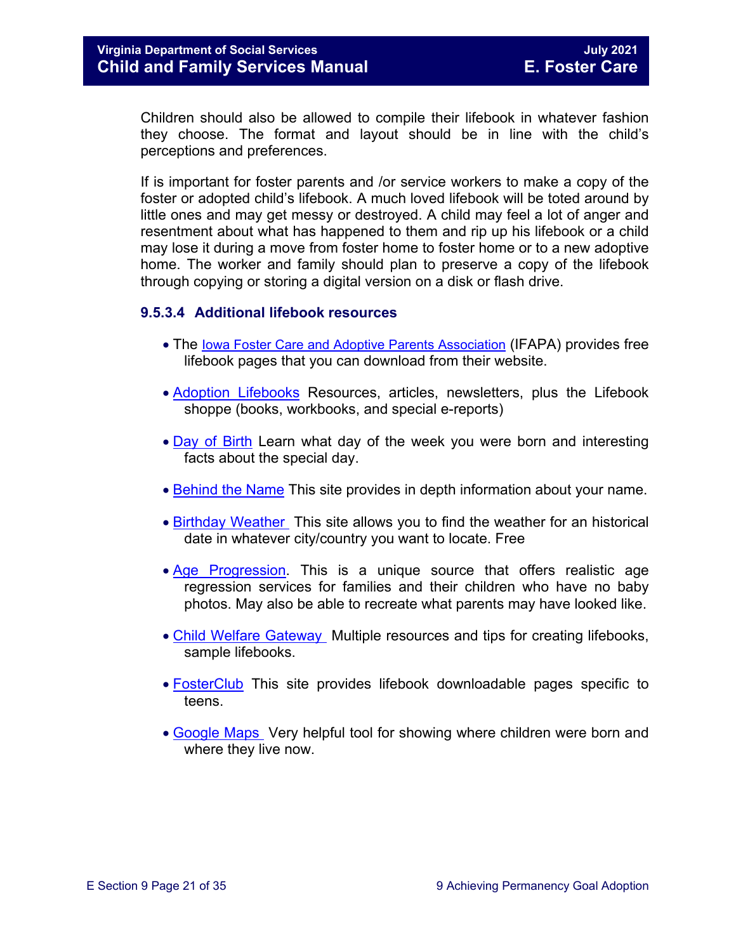Children should also be allowed to compile their lifebook in whatever fashion they choose. The format and layout should be in line with the child's perceptions and preferences.

If is important for foster parents and /or service workers to make a copy of the foster or adopted child's lifebook. A much loved lifebook will be toted around by little ones and may get messy or destroyed. A child may feel a lot of anger and resentment about what has happened to them and rip up his lifebook or a child may lose it during a move from foster home to foster home or to a new adoptive home. The worker and family should plan to preserve a copy of the lifebook through copying or storing a digital version on a disk or flash drive.

#### **9.5.3.4 Additional lifebook resources**

- The [Iowa Foster Care and Adoptive Parents Association](http://www.ifapa.org/publications/IFAPA_Lifebook_Pages.asp) (IFAPA) provides free lifebook pages that you can download from their website.
- [Adoption Lifebooks](http://adoptionlifebooks.com/) Resources, articles, newsletters, plus the Lifebook shoppe (books, workbooks, and special e-reports)
- [Day of Birth](http://www.dayofbirth.co.uk/) Learn what day of the week you were born and interesting facts about the special day.
- [Behind the Name](http://www.behindthename.com/) This site provides in depth information about your name.
- [Birthday Weather](http://www.wunderground.com/) This site allows you to find the weather for an historical date in whatever city/country you want to locate. Free
- [Age Progression.](http://www.phojoe.com/forensic_compositing.html) This is a unique source that offers realistic age regression services for families and their children who have no baby photos. May also be able to recreate what parents may have looked like.
- [Child Welfare Gateway](https://www.childwelfare.gov/topics/adoption/adopt-parenting/lifebooks/) Multiple resources and tips for creating lifebooks, sample lifebooks.
- [FosterClub](http://www.fosterclub.com/) This site provides lifebook downloadable pages specific to teens.
- [Google Maps](http://maps.google.com/) Very helpful tool for showing where children were born and where they live now.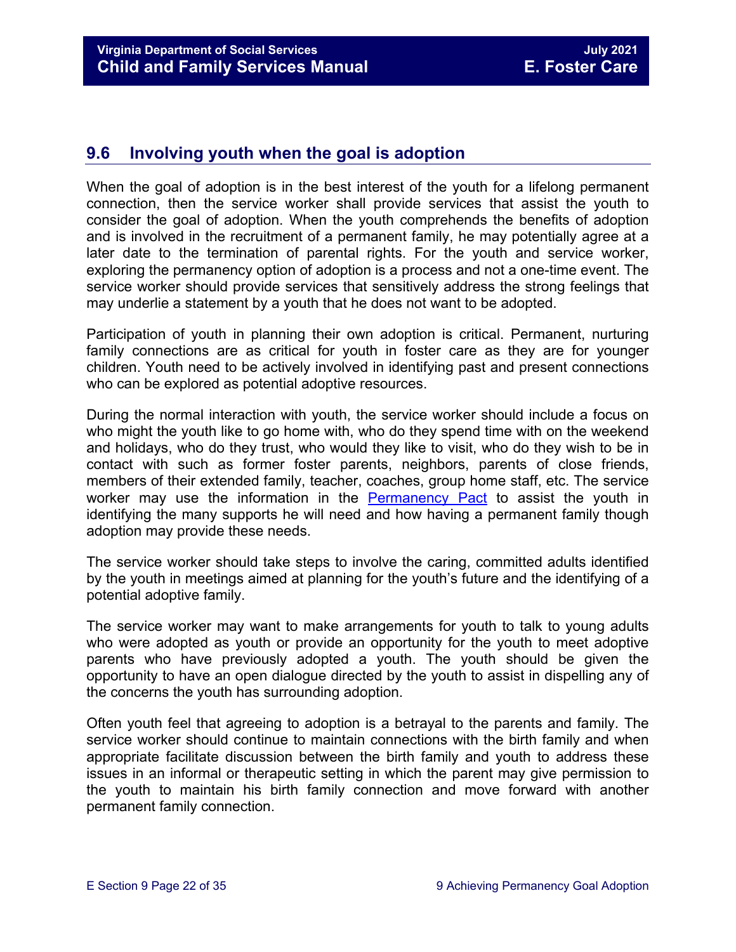# <span id="page-21-0"></span>**9.6 Involving youth when the goal is adoption**

When the goal of adoption is in the best interest of the youth for a lifelong permanent connection, then the service worker shall provide services that assist the youth to consider the goal of adoption. When the youth comprehends the benefits of adoption and is involved in the recruitment of a permanent family, he may potentially agree at a later date to the termination of parental rights. For the youth and service worker, exploring the permanency option of adoption is a process and not a one-time event. The service worker should provide services that sensitively address the strong feelings that may underlie a statement by a youth that he does not want to be adopted.

Participation of youth in planning their own adoption is critical. Permanent, nurturing family connections are as critical for youth in foster care as they are for younger children. Youth need to be actively involved in identifying past and present connections who can be explored as potential adoptive resources.

During the normal interaction with youth, the service worker should include a focus on who might the youth like to go home with, who do they spend time with on the weekend and holidays, who do they trust, who would they like to visit, who do they wish to be in contact with such as former foster parents, neighbors, parents of close friends, members of their extended family, teacher, coaches, group home staff, etc. The service worker may use the information in the [Permanency Pact](https://www.fosterclub.com/sites/default/files/Permanency%20Pact_0.pdf) to assist the youth in identifying the many supports he will need and how having a permanent family though adoption may provide these needs.

The service worker should take steps to involve the caring, committed adults identified by the youth in meetings aimed at planning for the youth's future and the identifying of a potential adoptive family.

The service worker may want to make arrangements for youth to talk to young adults who were adopted as youth or provide an opportunity for the youth to meet adoptive parents who have previously adopted a youth. The youth should be given the opportunity to have an open dialogue directed by the youth to assist in dispelling any of the concerns the youth has surrounding adoption.

Often youth feel that agreeing to adoption is a betrayal to the parents and family. The service worker should continue to maintain connections with the birth family and when appropriate facilitate discussion between the birth family and youth to address these issues in an informal or therapeutic setting in which the parent may give permission to the youth to maintain his birth family connection and move forward with another permanent family connection.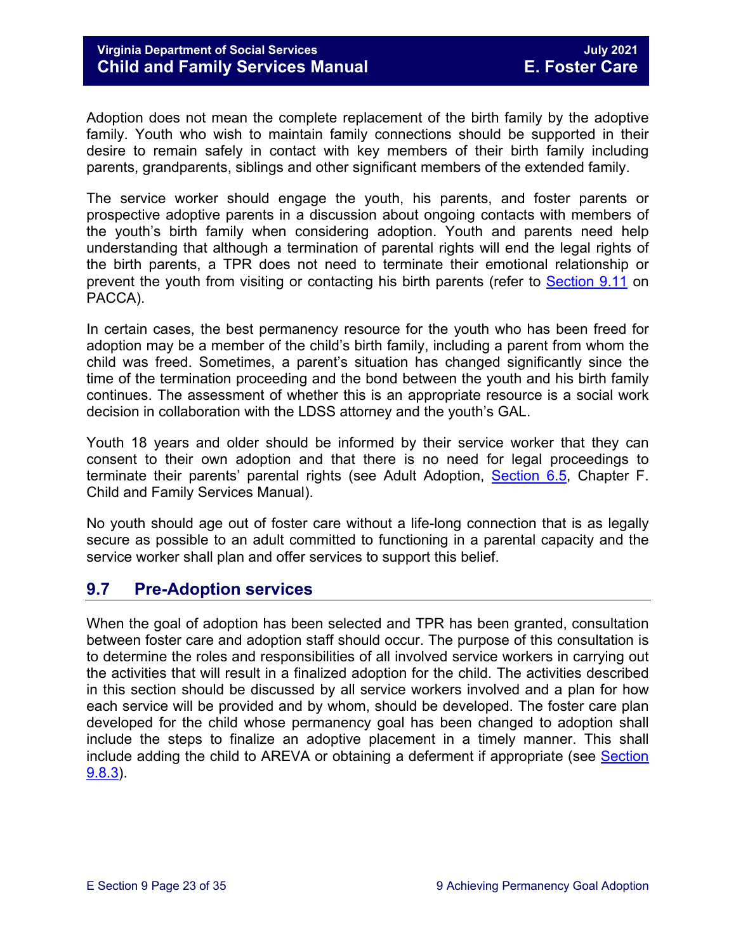Adoption does not mean the complete replacement of the birth family by the adoptive family. Youth who wish to maintain family connections should be supported in their desire to remain safely in contact with key members of their birth family including parents, grandparents, siblings and other significant members of the extended family.

The service worker should engage the youth, his parents, and foster parents or prospective adoptive parents in a discussion about ongoing contacts with members of the youth's birth family when considering adoption. Youth and parents need help understanding that although a termination of parental rights will end the legal rights of the birth parents, a TPR does not need to terminate their emotional relationship or prevent the youth from visiting or contacting his birth parents (refer to [Section 9.11](#page-32-1) on PACCA).

In certain cases, the best permanency resource for the youth who has been freed for adoption may be a member of the child's birth family, including a parent from whom the child was freed. Sometimes, a parent's situation has changed significantly since the time of the termination proceeding and the bond between the youth and his birth family continues. The assessment of whether this is an appropriate resource is a social work decision in collaboration with the LDSS attorney and the youth's GAL.

Youth 18 years and older should be informed by their service worker that they can consent to their own adoption and that there is no need for legal proceedings to terminate their parents' parental rights (see Adult Adoption, [Section 6.5,](https://fusion.dss.virginia.gov/Portals/%5Bdfs%5D/Files/Adoption/Guidance/2020/section_6_non_agency_placement_adoptions-July%202020.pdf#page=53) Chapter F. Child and Family Services Manual).

No youth should age out of foster care without a life-long connection that is as legally secure as possible to an adult committed to functioning in a parental capacity and the service worker shall plan and offer services to support this belief.

# <span id="page-22-0"></span>**9.7 Pre-Adoption services**

When the goal of adoption has been selected and TPR has been granted, consultation between foster care and adoption staff should occur. The purpose of this consultation is to determine the roles and responsibilities of all involved service workers in carrying out the activities that will result in a finalized adoption for the child. The activities described in this section should be discussed by all service workers involved and a plan for how each service will be provided and by whom, should be developed. The foster care plan developed for the child whose permanency goal has been changed to adoption shall include the steps to finalize an adoptive placement in a timely manner. This shall include adding the child to AREVA or obtaining a deferment if appropriate (see [Section](#page-27-0)  [9.8.3\)](#page-27-0).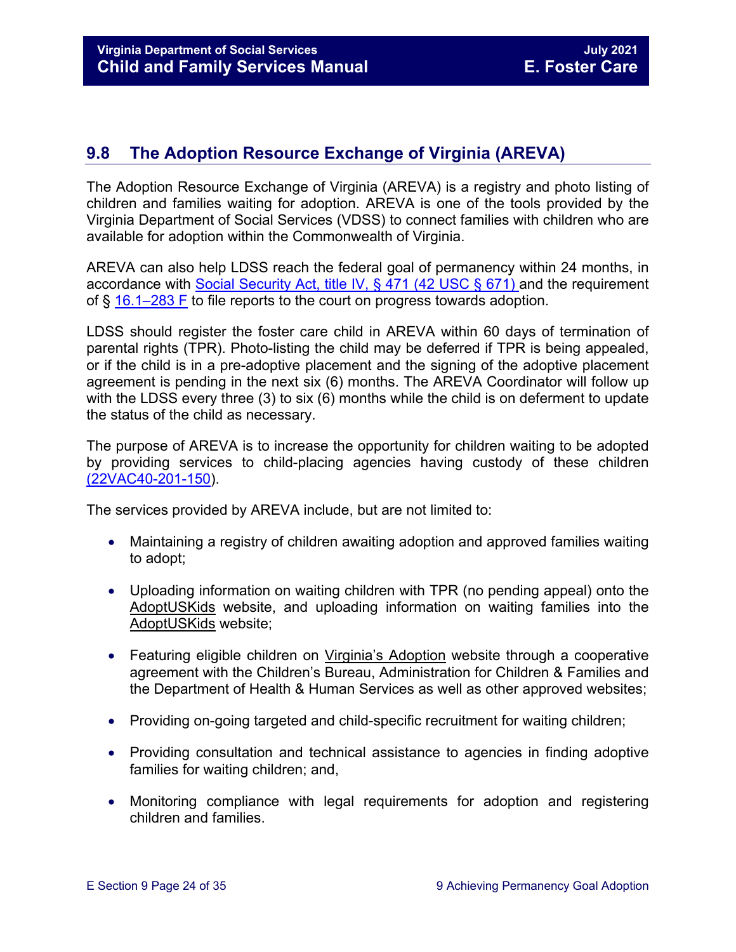# <span id="page-23-0"></span>**9.8 The Adoption Resource Exchange of Virginia (AREVA)**

The Adoption Resource Exchange of Virginia (AREVA) is a registry and photo listing of children and families waiting for adoption. AREVA is one of the tools provided by the Virginia Department of Social Services (VDSS) to connect families with children who are available for adoption within the Commonwealth of Virginia.

AREVA can also help LDSS reach the federal goal of permanency within 24 months, in accordance with [Social Security Act, title IV,](https://www.ssa.gov/OP_Home/ssact/title04/0471.htm) § 471 (42 USC § 671) and the requirement of § [16.1–283 F](https://law.lis.virginia.gov/vacode/16.1-283/) to file reports to the court on progress towards adoption.

LDSS should register the foster care child in AREVA within 60 days of termination of parental rights (TPR). Photo-listing the child may be deferred if TPR is being appealed, or if the child is in a pre-adoptive placement and the signing of the adoptive placement agreement is pending in the next six (6) months. The AREVA Coordinator will follow up with the LDSS every three (3) to six (6) months while the child is on deferment to update the status of the child as necessary.

The purpose of AREVA is to increase the opportunity for children waiting to be adopted by providing services to child-placing agencies having custody of these children [\(22VAC40-201-150\)](https://law.lis.virginia.gov/admincode/title22/agency40/chapter201/section150).

The services provided by AREVA include, but are not limited to:

- Maintaining a registry of children awaiting adoption and approved families waiting to adopt;
- Uploading information on waiting children with TPR (no pending appeal) onto the [AdoptUSKids](http://www.adoptuskids.org/) website, and uploading information on waiting families into the [AdoptUSKids](http://www.adoptuskids.org/) website;
- Featuring eligible children on [Virginia's Adoption](http://www.adoptuskids.org/states/va/index.aspx) website through a cooperative agreement with the Children's Bureau, Administration for Children & Families and the Department of Health & Human Services as well as other approved websites;
- Providing on-going targeted and child-specific recruitment for waiting children;
- Providing consultation and technical assistance to agencies in finding adoptive families for waiting children; and,
- Monitoring compliance with legal requirements for adoption and registering children and families.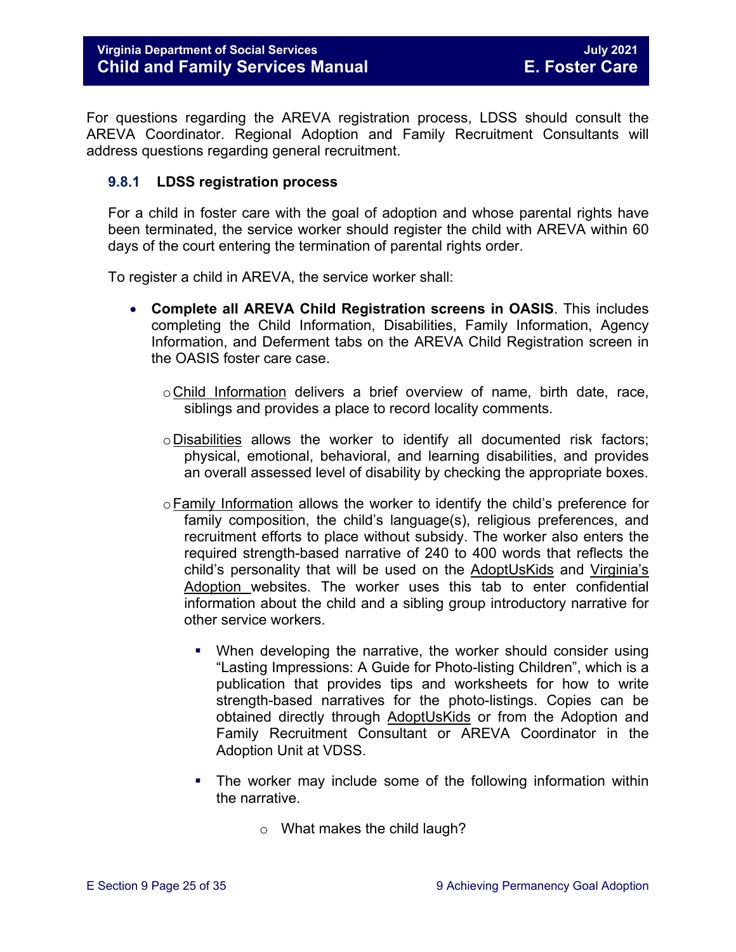For questions regarding the AREVA registration process, LDSS should consult the AREVA Coordinator. Regional Adoption and Family Recruitment Consultants will address questions regarding general recruitment.

#### <span id="page-24-0"></span>**9.8.1 LDSS registration process**

For a child in foster care with the goal of adoption and whose parental rights have been terminated, the service worker should register the child with AREVA within 60 days of the court entering the termination of parental rights order.

To register a child in AREVA, the service worker shall:

- **Complete all AREVA Child Registration screens in OASIS**. This includes completing the Child Information, Disabilities, Family Information, Agency Information, and Deferment tabs on the AREVA Child Registration screen in the OASIS foster care case.
	- oChild Information delivers a brief overview of name, birth date, race, siblings and provides a place to record locality comments.
	- oDisabilities allows the worker to identify all documented risk factors; physical, emotional, behavioral, and learning disabilities, and provides an overall assessed level of disability by checking the appropriate boxes.
	- $\circ$  Family Information allows the worker to identify the child's preference for family composition, the child's language(s), religious preferences, and recruitment efforts to place without subsidy. The worker also enters the required strength-based narrative of 240 to 400 words that reflects the child's personality that will be used on the [AdoptUsKids](http://www.adoptuskids.org/) and [Virginia's](http://www.adoptuskids.org/states/va/index.aspx)  [Adoption](http://www.adoptuskids.org/states/va/index.aspx) websites. The worker uses this tab to enter confidential information about the child and a sibling group introductory narrative for other service workers.
		- When developing the narrative, the worker should consider using "Lasting Impressions: A Guide for Photo-listing Children", which is a publication that provides tips and worksheets for how to write strength-based narratives for the photo-listings. Copies can be obtained directly through [AdoptUsKids](http://www.adoptuskids.org/) or from the Adoption and Family Recruitment Consultant or AREVA Coordinator in the Adoption Unit at VDSS.
		- The worker may include some of the following information within the narrative.
			- o What makes the child laugh?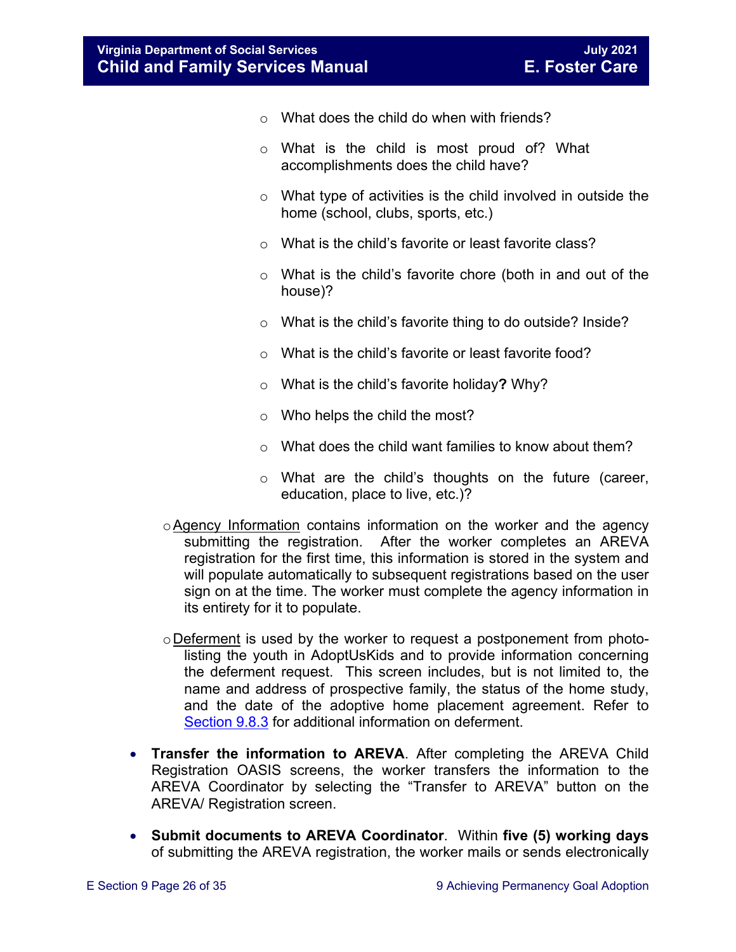- $\circ$  What does the child do when with friends?
- o What is the child is most proud of? What accomplishments does the child have?
- $\circ$  What type of activities is the child involved in outside the home (school, clubs, sports, etc.)
- o What is the child's favorite or least favorite class?
- o What is the child's favorite chore (both in and out of the house)?
- o What is the child's favorite thing to do outside? Inside?
- o What is the child's favorite or least favorite food?
- o What is the child's favorite holiday**?** Why?
- o Who helps the child the most?
- o What does the child want families to know about them?
- o What are the child's thoughts on the future (career, education, place to live, etc.)?
- oAgency Information contains information on the worker and the agency submitting the registration. After the worker completes an AREVA registration for the first time, this information is stored in the system and will populate automatically to subsequent registrations based on the user sign on at the time. The worker must complete the agency information in its entirety for it to populate.
- oDeferment is used by the worker to request a postponement from photolisting the youth in [AdoptUsKids](http://www.adoptuskids.org/) and to provide information concerning the deferment request. This screen includes, but is not limited to, the name and address of prospective family, the status of the home study, and the date of the adoptive home placement agreement. Refer to [Section 9.8.3](#page-27-0) for additional information on deferment.
- **Transfer the information to AREVA**. After completing the AREVA Child Registration OASIS screens, the worker transfers the information to the AREVA Coordinator by selecting the "Transfer to AREVA" button on the AREVA/ Registration screen.
- **Submit documents to AREVA Coordinator**. Within **five (5) working days** of submitting the AREVA registration, the worker mails or sends electronically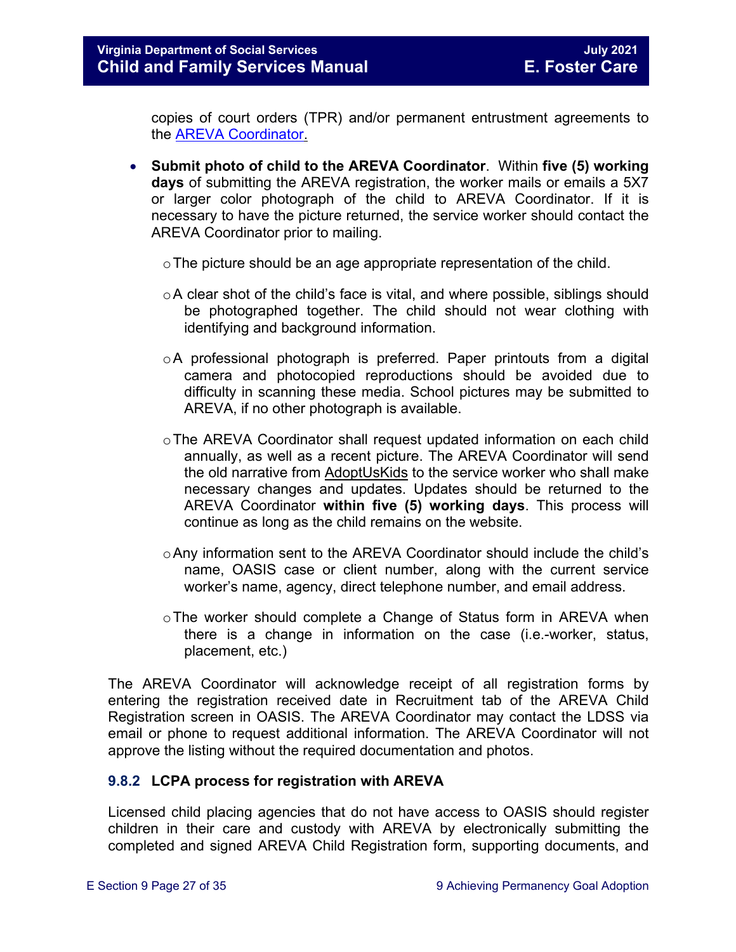copies of court orders (TPR) and/or permanent entrustment agreements to the [AREVA Coordinator.](https://fusion.dss.virginia.gov/dfs/DFS-Home/Adoption/AREVA)

- **Submit photo of child to the AREVA Coordinator**. Within **five (5) working days** of submitting the AREVA registration, the worker mails or emails a 5X7 or larger color photograph of the child to AREVA Coordinator. If it is necessary to have the picture returned, the service worker should contact the AREVA Coordinator prior to mailing.
	- o The picture should be an age appropriate representation of the child.
	- $\circ$ A clear shot of the child's face is vital, and where possible, siblings should be photographed together. The child should not wear clothing with identifying and background information.
	- $\circ$ A professional photograph is preferred. Paper printouts from a digital camera and photocopied reproductions should be avoided due to difficulty in scanning these media. School pictures may be submitted to AREVA, if no other photograph is available.
	- $\circ$ The AREVA Coordinator shall request updated information on each child annually, as well as a recent picture. The AREVA Coordinator will send the old narrative from [AdoptUsKids](http://www.adoptuskids.org/) to the service worker who shall make necessary changes and updates. Updates should be returned to the AREVA Coordinator **within five (5) working days**. This process will continue as long as the child remains on the website.
	- oAny information sent to the AREVA Coordinator should include the child's name, OASIS case or client number, along with the current service worker's name, agency, direct telephone number, and email address.
	- o The worker should complete a Change of Status form in AREVA when there is a change in information on the case (i.e.-worker, status, placement, etc.)

The AREVA Coordinator will acknowledge receipt of all registration forms by entering the registration received date in Recruitment tab of the AREVA Child Registration screen in OASIS. The AREVA Coordinator may contact the LDSS via email or phone to request additional information. The AREVA Coordinator will not approve the listing without the required documentation and photos.

#### <span id="page-26-0"></span>**9.8.2 LCPA process for registration with AREVA**

Licensed child placing agencies that do not have access to OASIS should register children in their care and custody with AREVA by electronically submitting the completed and signed AREVA Child Registration form, supporting documents, and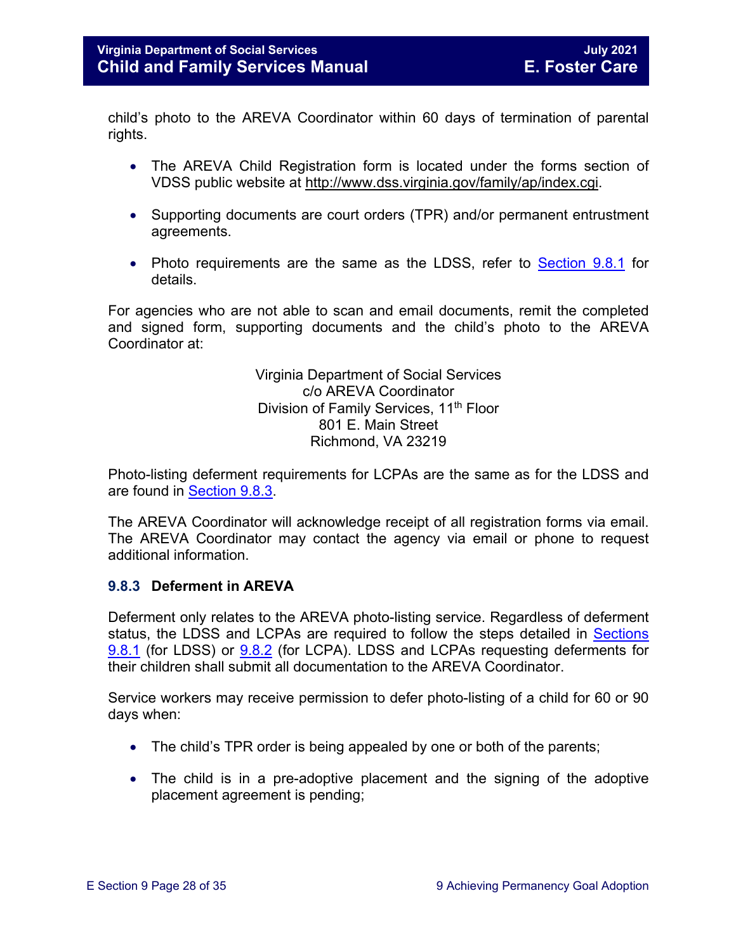child's photo to the AREVA Coordinator within 60 days of termination of parental rights.

- The AREVA Child Registration form is located under the forms section of VDSS public website at [http://www.dss.virginia.gov/family/ap/index.cgi.](http://www.dss.virginia.gov/family/ap/index.cgi)
- Supporting documents are court orders (TPR) and/or permanent entrustment agreements.
- Photo requirements are the same as the LDSS, refer to **Section 9.8.1** for details.

For agencies who are not able to scan and email documents, remit the completed and signed form, supporting documents and the child's photo to the AREVA Coordinator at:

> Virginia Department of Social Services c/o AREVA Coordinator Division of Family Services, 11<sup>th</sup> Floor 801 E. Main Street Richmond, VA 23219

Photo-listing deferment requirements for LCPAs are the same as for the LDSS and are found in [Section 9.8.3.](#page-27-0)

The AREVA Coordinator will acknowledge receipt of all registration forms via email. The AREVA Coordinator may contact the agency via email or phone to request additional information.

#### <span id="page-27-0"></span>**9.8.3 Deferment in AREVA**

Deferment only relates to the AREVA photo-listing service. Regardless of deferment status, the LDSS and LCPAs are required to follow the steps detailed in Sections [9.8.1](#page-24-0) (for LDSS) or [9.8.2](#page-26-0) (for LCPA). LDSS and LCPAs requesting deferments for their children shall submit all documentation to the AREVA Coordinator.

Service workers may receive permission to defer photo-listing of a child for 60 or 90 days when:

- The child's TPR order is being appealed by one or both of the parents;
- The child is in a pre-adoptive placement and the signing of the adoptive placement agreement is pending;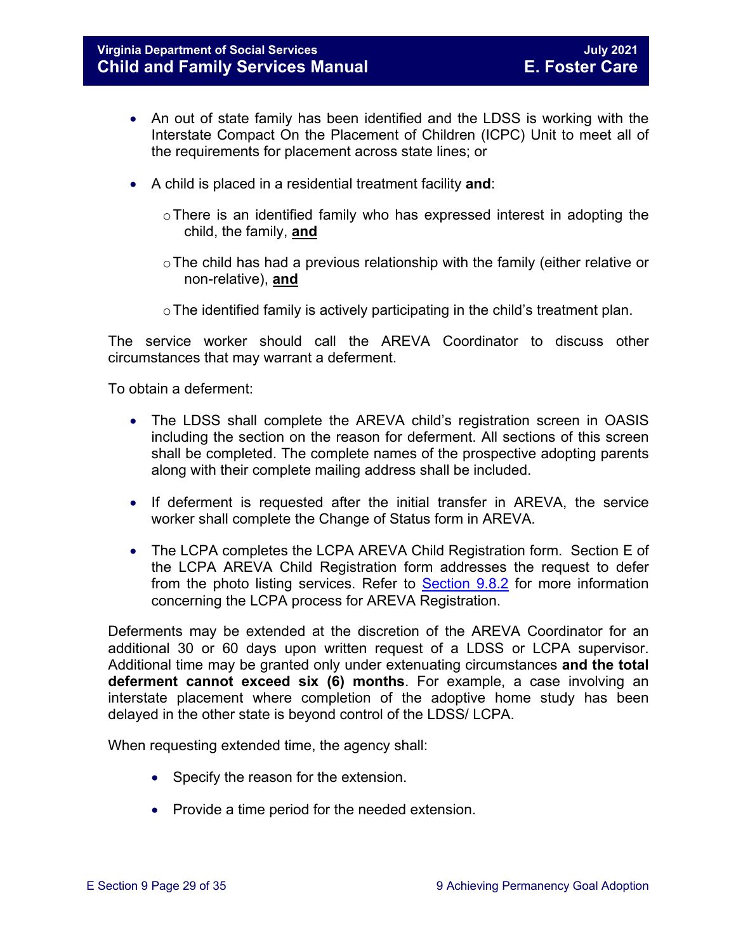- An out of state family has been identified and the LDSS is working with the Interstate Compact On the Placement of Children (ICPC) Unit to meet all of the requirements for placement across state lines; or
- A child is placed in a residential treatment facility **and**:
	- o There is an identified family who has expressed interest in adopting the child, the family, **and**
	- $\circ$  The child has had a previous relationship with the family (either relative or non-relative), **and**
	- $\circ$  The identified family is actively participating in the child's treatment plan.

The service worker should call the AREVA Coordinator to discuss other circumstances that may warrant a deferment.

To obtain a deferment:

- The LDSS shall complete the AREVA child's registration screen in OASIS including the section on the reason for deferment. All sections of this screen shall be completed. The complete names of the prospective adopting parents along with their complete mailing address shall be included.
- If deferment is requested after the initial transfer in AREVA, the service worker shall complete the Change of Status form in AREVA.
- The LCPA completes the LCPA AREVA Child Registration form. Section E of the LCPA AREVA Child Registration form addresses the request to defer from the photo listing services. Refer to [Section 9.8.2](#page-26-0) for more information concerning the LCPA process for AREVA Registration.

Deferments may be extended at the discretion of the AREVA Coordinator for an additional 30 or 60 days upon written request of a LDSS or LCPA supervisor. Additional time may be granted only under extenuating circumstances **and the total deferment cannot exceed six (6) months**. For example, a case involving an interstate placement where completion of the adoptive home study has been delayed in the other state is beyond control of the LDSS/ LCPA.

When requesting extended time, the agency shall:

- Specify the reason for the extension.
- Provide a time period for the needed extension.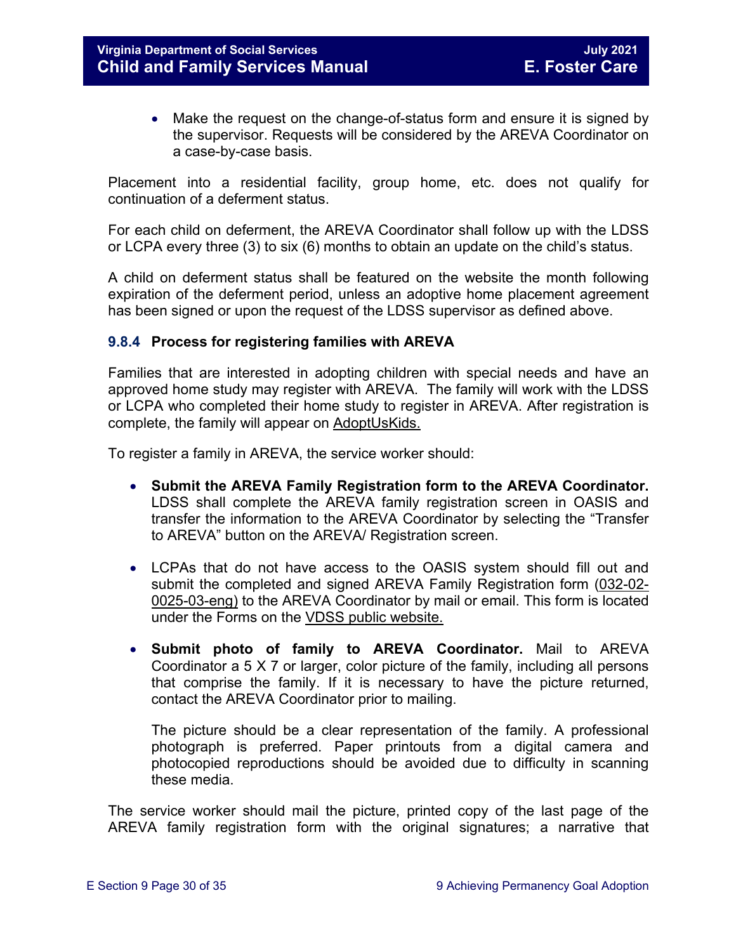• Make the request on the change-of-status form and ensure it is signed by the supervisor. Requests will be considered by the AREVA Coordinator on a case-by-case basis.

Placement into a residential facility, group home, etc. does not qualify for continuation of a deferment status.

For each child on deferment, the AREVA Coordinator shall follow up with the LDSS or LCPA every three (3) to six (6) months to obtain an update on the child's status.

A child on deferment status shall be featured on the website the month following expiration of the deferment period, unless an adoptive home placement agreement has been signed or upon the request of the LDSS supervisor as defined above.

#### <span id="page-29-0"></span>**9.8.4 Process for registering families with AREVA**

Families that are interested in adopting children with special needs and have an approved home study may register with AREVA. The family will work with the LDSS or LCPA who completed their home study to register in AREVA. After registration is complete, the family will appear on [AdoptUsKids.](http://www.adoptuskids.org/)

To register a family in AREVA, the service worker should:

- **Submit the AREVA Family Registration form to the AREVA Coordinator.**  LDSS shall complete the AREVA family registration screen in OASIS and transfer the information to the AREVA Coordinator by selecting the "Transfer to AREVA" button on the AREVA/ Registration screen.
- LCPAs that do not have access to the OASIS system should fill out and submit the completed and signed AREVA Family Registration form [\(032-02-](http://www.dss.virginia.gov/files/division/dfs/ap/intro_page/forms/032-02-0025-03-eng.pdf) [0025-03-eng\)](http://www.dss.virginia.gov/files/division/dfs/ap/intro_page/forms/032-02-0025-03-eng.pdf) to the AREVA Coordinator by mail or email. This form is located under the Forms on the [VDSS public website.](http://www.dss.virginia.gov/family/ap/index.cgi)
- **Submit photo of family to AREVA Coordinator.** Mail to AREVA Coordinator a 5 X 7 or larger, color picture of the family, including all persons that comprise the family. If it is necessary to have the picture returned, contact the AREVA Coordinator prior to mailing.

The picture should be a clear representation of the family. A professional photograph is preferred. Paper printouts from a digital camera and photocopied reproductions should be avoided due to difficulty in scanning these media.

The service worker should mail the picture, printed copy of the last page of the AREVA family registration form with the original signatures; a narrative that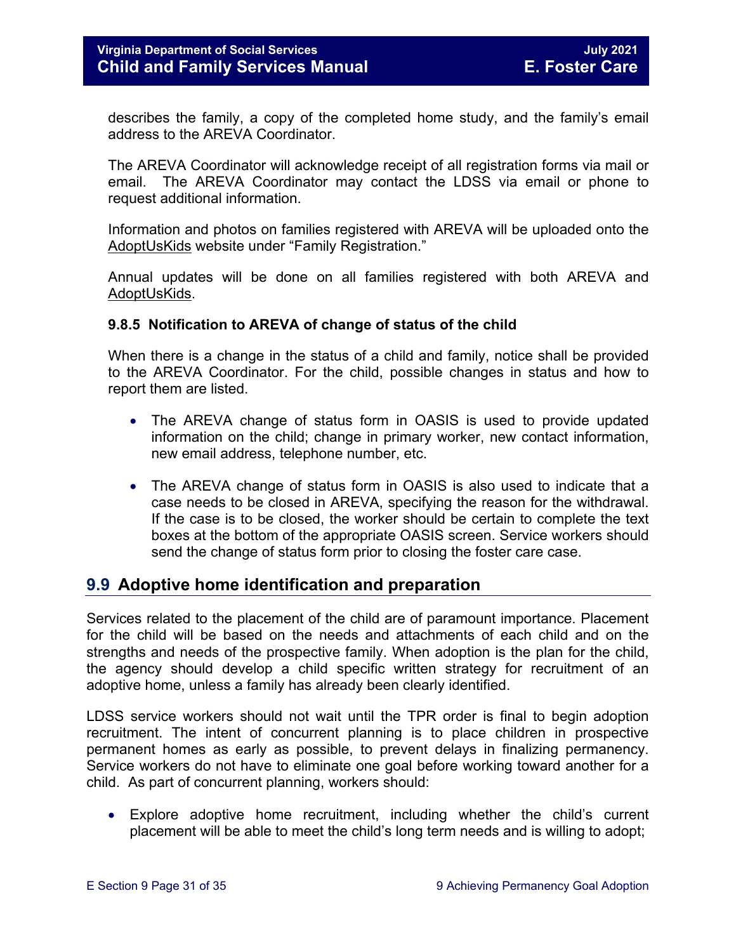describes the family, a copy of the completed home study, and the family's email address to the AREVA Coordinator.

The AREVA Coordinator will acknowledge receipt of all registration forms via mail or email. The AREVA Coordinator may contact the LDSS via email or phone to request additional information.

Information and photos on families registered with AREVA will be uploaded onto the [AdoptUsKids](http://www.adoptuskids.org/) website under "Family Registration."

Annual updates will be done on all families registered with both AREVA and [AdoptUsKids.](http://www.adoptuskids.org/)

#### <span id="page-30-0"></span>**9.8.5 Notification to AREVA of change of status of the child**

When there is a change in the status of a child and family, notice shall be provided to the AREVA Coordinator. For the child, possible changes in status and how to report them are listed.

- The AREVA change of status form in OASIS is used to provide updated information on the child; change in primary worker, new contact information, new email address, telephone number, etc.
- The AREVA change of status form in OASIS is also used to indicate that a case needs to be closed in AREVA, specifying the reason for the withdrawal. If the case is to be closed, the worker should be certain to complete the text boxes at the bottom of the appropriate OASIS screen. Service workers should send the change of status form prior to closing the foster care case.

# <span id="page-30-1"></span>**9.9 Adoptive home identification and preparation**

Services related to the placement of the child are of paramount importance. Placement for the child will be based on the needs and attachments of each child and on the strengths and needs of the prospective family. When adoption is the plan for the child, the agency should develop a child specific written strategy for recruitment of an adoptive home, unless a family has already been clearly identified.

LDSS service workers should not wait until the TPR order is final to begin adoption recruitment. The intent of concurrent planning is to place children in prospective permanent homes as early as possible, to prevent delays in finalizing permanency. Service workers do not have to eliminate one goal before working toward another for a child. As part of concurrent planning, workers should:

• Explore adoptive home recruitment, including whether the child's current placement will be able to meet the child's long term needs and is willing to adopt;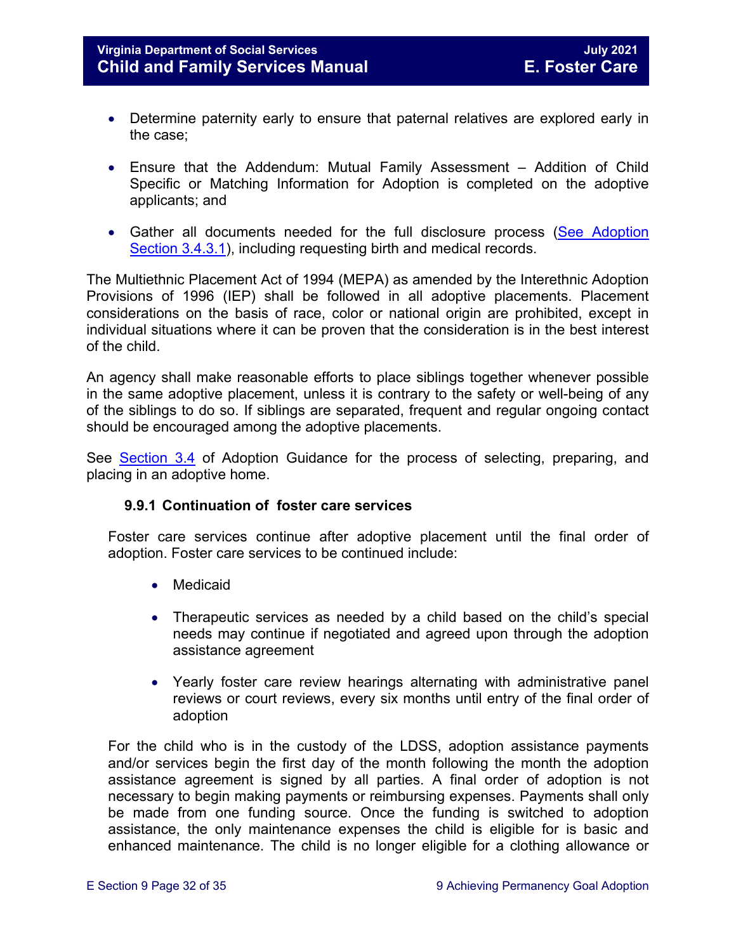- Determine paternity early to ensure that paternal relatives are explored early in the case;
- Ensure that the Addendum: Mutual Family Assessment Addition of Child Specific or Matching Information for Adoption is completed on the adoptive applicants; and
- Gather all documents needed for the full disclosure process (See Adoption [Section 3.4.3.1\)](https://fusion.dss.virginia.gov/Portals/%5Bdfs%5D/Files/Adoption/Guidance/2020/section_3_finalizing%20the%20adoption-July%202020.pdf#page=6), including requesting birth and medical records.

The Multiethnic Placement Act of 1994 (MEPA) as amended by the Interethnic Adoption Provisions of 1996 (IEP) shall be followed in all adoptive placements. Placement considerations on the basis of race, color or national origin are prohibited, except in individual situations where it can be proven that the consideration is in the best interest of the child.

An agency shall make reasonable efforts to place siblings together whenever possible in the same adoptive placement, unless it is contrary to the safety or well-being of any of the siblings to do so. If siblings are separated, frequent and regular ongoing contact should be encouraged among the adoptive placements.

See [Section 3.4](https://fusion.dss.virginia.gov/Portals/%5Bdfs%5D/Files/Adoption/Guidance/2020/section_3_finalizing%20the%20adoption-July%202020.pdf#page=4) of Adoption Guidance for the process of selecting, preparing, and placing in an adoptive home.

### **9.9.1 Continuation of foster care services**

<span id="page-31-0"></span>Foster care services continue after adoptive placement until the final order of adoption. Foster care services to be continued include:

- Medicaid
- Therapeutic services as needed by a child based on the child's special needs may continue if negotiated and agreed upon through the adoption assistance agreement
- Yearly foster care review hearings alternating with administrative panel reviews or court reviews, every six months until entry of the final order of adoption

For the child who is in the custody of the LDSS, adoption assistance payments and/or services begin the first day of the month following the month the adoption assistance agreement is signed by all parties. A final order of adoption is not necessary to begin making payments or reimbursing expenses. Payments shall only be made from one funding source. Once the funding is switched to adoption assistance, the only maintenance expenses the child is eligible for is basic and enhanced maintenance. The child is no longer eligible for a clothing allowance or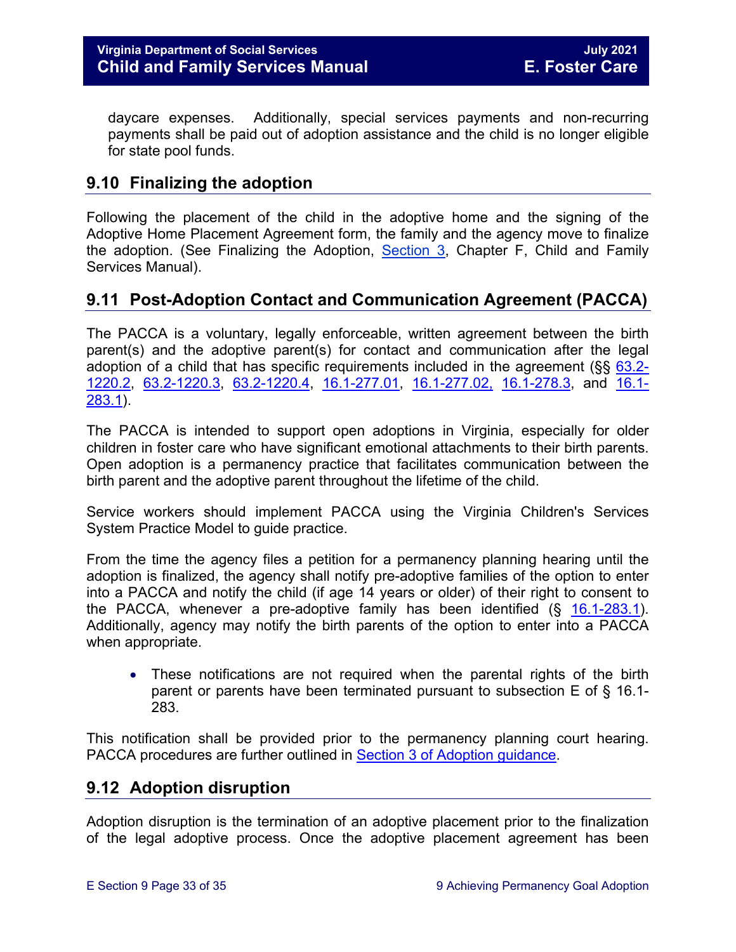daycare expenses. Additionally, special services payments and non-recurring payments shall be paid out of adoption assistance and the child is no longer eligible for state pool funds.

# <span id="page-32-0"></span>**9.10 Finalizing the adoption**

Following the placement of the child in the adoptive home and the signing of the Adoptive Home Placement Agreement form, the family and the agency move to finalize the adoption. (See Finalizing the Adoption, [Section 3,](https://fusion.dss.virginia.gov/Portals/%5Bdfs%5D/Files/Adoption/Guidance/2020/section_3_finalizing%20the%20adoption-July%202020.pdf) Chapter F, Child and Family Services Manual).

# <span id="page-32-1"></span>**9.11 Post-Adoption Contact and Communication Agreement (PACCA)**

The PACCA is a voluntary, legally enforceable, written agreement between the birth parent(s) and the adoptive parent(s) for contact and communication after the legal adoption of a child that has specific requirements included in the agreement ( $\S$ § [63.2-](https://law.lis.virginia.gov/vacode/63.2-1220.2/) [1220.2,](https://law.lis.virginia.gov/vacode/63.2-1220.2/) [63.2-1220.3,](https://law.lis.virginia.gov/vacode/title63.2/chapter12/section63.2-1220.3/) [63.2-1220.4,](https://law.lis.virginia.gov/vacode/title63.2/chapter12/section63.2-1220.4/) [16.1-277.01,](https://law.lis.virginia.gov/vacode/16.1-277.01/) [16.1-277.02,](https://law.lis.virginia.gov/vacode/title16.1/chapter11/section16.1-277.02/) [16.1-278.3,](https://law.lis.virginia.gov/vacode/16.1-278.3/) and [16.1-](https://law.lis.virginia.gov/vacode/16.1-283.1/) [283.1\)](https://law.lis.virginia.gov/vacode/16.1-283.1/).

The PACCA is intended to support open adoptions in Virginia, especially for older children in foster care who have significant emotional attachments to their birth parents. Open adoption is a permanency practice that facilitates communication between the birth parent and the adoptive parent throughout the lifetime of the child.

Service workers should implement PACCA using the Virginia Children's Services System Practice Model to guide practice.

From the time the agency files a petition for a permanency planning hearing until the adoption is finalized, the agency shall notify pre-adoptive families of the option to enter into a PACCA and notify the child (if age 14 years or older) of their right to consent to the PACCA, whenever a pre-adoptive family has been identified  $(S$  [16.1-283.1\)](https://law.lis.virginia.gov/vacode/16.1-283.1). Additionally, agency may notify the birth parents of the option to enter into a PACCA when appropriate.

• These notifications are not required when the parental rights of the birth parent or parents have been terminated pursuant to subsection E of § 16.1- 283.

This notification shall be provided prior to the permanency planning court hearing. PACCA procedures are further outlined in [Section 3 of Adoption guidance.](https://fusion.dss.virginia.gov/Portals/%5Bdfs%5D/Files/Adoption/Guidance/2020/section_3_finalizing%20the%20adoption-July%202020.pdf)

# <span id="page-32-2"></span>**9.12 Adoption disruption**

Adoption disruption is the termination of an adoptive placement prior to the finalization of the legal adoptive process. Once the adoptive placement agreement has been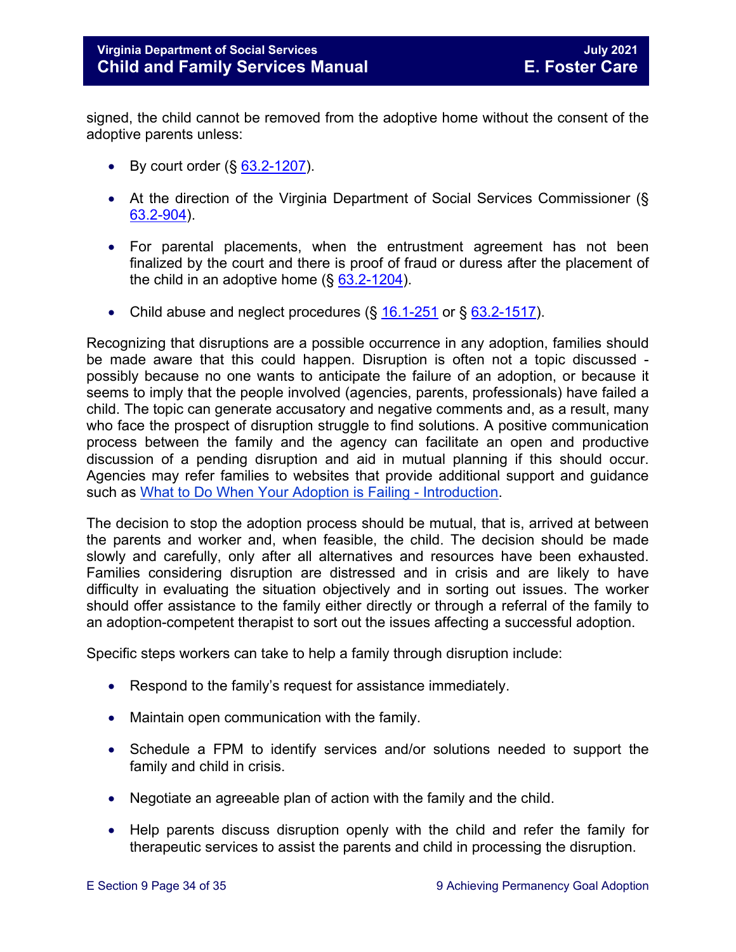signed, the child cannot be removed from the adoptive home without the consent of the adoptive parents unless:

- By court order  $(\S$  [63.2-1207\)](https://law.lis.virginia.gov/vacode/63.2-1207).
- At the direction of the Virginia Department of Social Services Commissioner (§ [63.2-904\)](https://law.lis.virginia.gov/vacode/63.2-904).
- For parental placements, when the entrustment agreement has not been finalized by the court and there is proof of fraud or duress after the placement of the child in an adoptive home  $(\S$  [63.2-1204\)](https://law.lis.virginia.gov/vacode/63.2-1204).
- Child abuse and neglect procedures  $(\S 16.1-251)$  $(\S 16.1-251)$  $(\S 16.1-251)$  or  $\S 63.2-1517$ .

Recognizing that disruptions are a possible occurrence in any adoption, families should be made aware that this could happen. Disruption is often not a topic discussed possibly because no one wants to anticipate the failure of an adoption, or because it seems to imply that the people involved (agencies, parents, professionals) have failed a child. The topic can generate accusatory and negative comments and, as a result, many who face the prospect of disruption struggle to find solutions. A positive communication process between the family and the agency can facilitate an open and productive discussion of a pending disruption and aid in mutual planning if this should occur. Agencies may refer families to websites that provide additional support and guidance such as What to [Do When Your Adoption is Failing - Introduction.](http://library.adoption.com/articles/what-to-do-when-your-adoption-is-failing-a-parents-guide-to-adoption-disruption-dissolution.html)

The decision to stop the adoption process should be mutual, that is, arrived at between the parents and worker and, when feasible, the child. The decision should be made slowly and carefully, only after all alternatives and resources have been exhausted. Families considering disruption are distressed and in crisis and are likely to have difficulty in evaluating the situation objectively and in sorting out issues. The worker should offer assistance to the family either directly or through a referral of the family to an adoption-competent therapist to sort out the issues affecting a successful adoption.

Specific steps workers can take to help a family through disruption include:

- Respond to the family's request for assistance immediately.
- Maintain open communication with the family.
- Schedule a FPM to identify services and/or solutions needed to support the family and child in crisis.
- Negotiate an agreeable plan of action with the family and the child.
- Help parents discuss disruption openly with the child and refer the family for therapeutic services to assist the parents and child in processing the disruption.